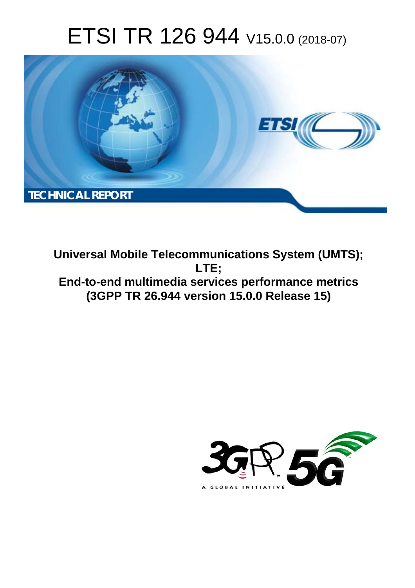# ETSI TR 126 944 V15.0.0 (2018-07)



**Universal Mobile Telecommunications System (UMTS); LTE; End-to-end multimedia services performance metrics (3GPP TR 26.944 version 15.0.0 Release 15)** 

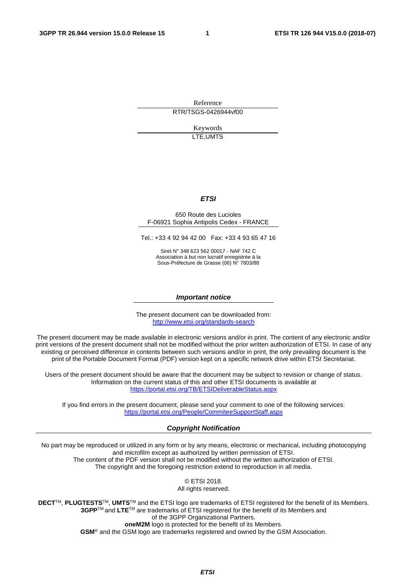Reference RTR/TSGS-0426944vf00

> Keywords LTE,UMTS

### *ETSI*

#### 650 Route des Lucioles F-06921 Sophia Antipolis Cedex - FRANCE

Tel.: +33 4 92 94 42 00 Fax: +33 4 93 65 47 16

Siret N° 348 623 562 00017 - NAF 742 C Association à but non lucratif enregistrée à la Sous-Préfecture de Grasse (06) N° 7803/88

#### *Important notice*

The present document can be downloaded from: <http://www.etsi.org/standards-search>

The present document may be made available in electronic versions and/or in print. The content of any electronic and/or print versions of the present document shall not be modified without the prior written authorization of ETSI. In case of any existing or perceived difference in contents between such versions and/or in print, the only prevailing document is the print of the Portable Document Format (PDF) version kept on a specific network drive within ETSI Secretariat.

Users of the present document should be aware that the document may be subject to revision or change of status. Information on the current status of this and other ETSI documents is available at <https://portal.etsi.org/TB/ETSIDeliverableStatus.aspx>

If you find errors in the present document, please send your comment to one of the following services: <https://portal.etsi.org/People/CommiteeSupportStaff.aspx>

### *Copyright Notification*

No part may be reproduced or utilized in any form or by any means, electronic or mechanical, including photocopying and microfilm except as authorized by written permission of ETSI. The content of the PDF version shall not be modified without the written authorization of ETSI. The copyright and the foregoing restriction extend to reproduction in all media.

> © ETSI 2018. All rights reserved.

**DECT**TM, **PLUGTESTS**TM, **UMTS**TM and the ETSI logo are trademarks of ETSI registered for the benefit of its Members. **3GPP**TM and **LTE**TM are trademarks of ETSI registered for the benefit of its Members and of the 3GPP Organizational Partners. **oneM2M** logo is protected for the benefit of its Members.

**GSM**® and the GSM logo are trademarks registered and owned by the GSM Association.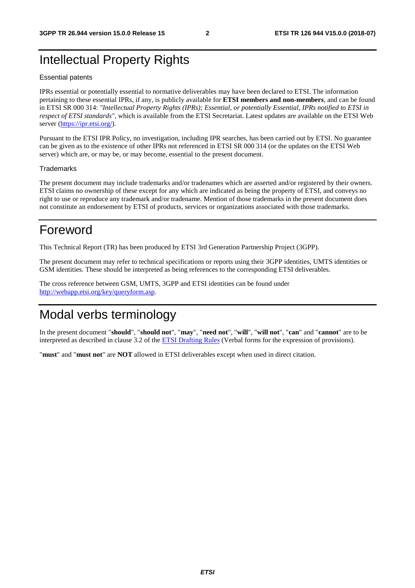# Intellectual Property Rights

### Essential patents

IPRs essential or potentially essential to normative deliverables may have been declared to ETSI. The information pertaining to these essential IPRs, if any, is publicly available for **ETSI members and non-members**, and can be found in ETSI SR 000 314: *"Intellectual Property Rights (IPRs); Essential, or potentially Essential, IPRs notified to ETSI in respect of ETSI standards"*, which is available from the ETSI Secretariat. Latest updates are available on the ETSI Web server ([https://ipr.etsi.org/\)](https://ipr.etsi.org/).

Pursuant to the ETSI IPR Policy, no investigation, including IPR searches, has been carried out by ETSI. No guarantee can be given as to the existence of other IPRs not referenced in ETSI SR 000 314 (or the updates on the ETSI Web server) which are, or may be, or may become, essential to the present document.

### **Trademarks**

The present document may include trademarks and/or tradenames which are asserted and/or registered by their owners. ETSI claims no ownership of these except for any which are indicated as being the property of ETSI, and conveys no right to use or reproduce any trademark and/or tradename. Mention of those trademarks in the present document does not constitute an endorsement by ETSI of products, services or organizations associated with those trademarks.

# Foreword

This Technical Report (TR) has been produced by ETSI 3rd Generation Partnership Project (3GPP).

The present document may refer to technical specifications or reports using their 3GPP identities, UMTS identities or GSM identities. These should be interpreted as being references to the corresponding ETSI deliverables.

The cross reference between GSM, UMTS, 3GPP and ETSI identities can be found under [http://webapp.etsi.org/key/queryform.asp.](http://webapp.etsi.org/key/queryform.asp)

# Modal verbs terminology

In the present document "**should**", "**should not**", "**may**", "**need not**", "**will**", "**will not**", "**can**" and "**cannot**" are to be interpreted as described in clause 3.2 of the [ETSI Drafting Rules](https://portal.etsi.org/Services/editHelp!/Howtostart/ETSIDraftingRules.aspx) (Verbal forms for the expression of provisions).

"**must**" and "**must not**" are **NOT** allowed in ETSI deliverables except when used in direct citation.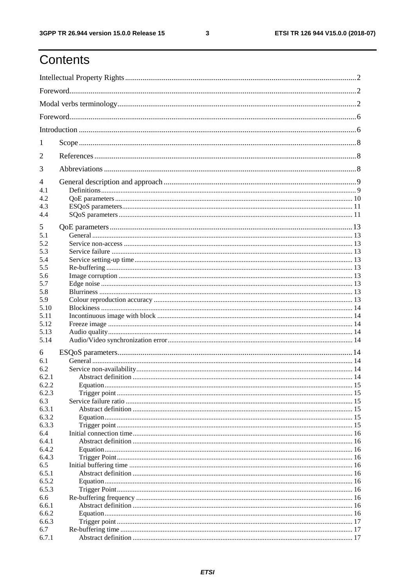# Contents

| 1                               |           |  |  |  |
|---------------------------------|-----------|--|--|--|
| 2                               |           |  |  |  |
| 3                               |           |  |  |  |
| $\overline{\mathcal{A}}$<br>4.1 |           |  |  |  |
| 4.2                             |           |  |  |  |
| 4.3                             |           |  |  |  |
| 4.4                             |           |  |  |  |
|                                 |           |  |  |  |
| 5                               |           |  |  |  |
| 5.1                             |           |  |  |  |
| 5.2                             |           |  |  |  |
| 5.3                             |           |  |  |  |
| 5.4                             |           |  |  |  |
| 5.5                             |           |  |  |  |
| 5.6                             |           |  |  |  |
| 5.7                             |           |  |  |  |
| 5.8                             |           |  |  |  |
| 5.9                             |           |  |  |  |
| 5.10                            |           |  |  |  |
| 5.11                            |           |  |  |  |
| 5.12                            |           |  |  |  |
| 5.13                            |           |  |  |  |
| 5.14                            |           |  |  |  |
| 6                               |           |  |  |  |
| 6.1                             |           |  |  |  |
| 6.2                             |           |  |  |  |
| 6.2.1                           |           |  |  |  |
| 6.2.2                           | Equation. |  |  |  |
| 6.2.3                           |           |  |  |  |
| 6.3                             |           |  |  |  |
| 6.3.1                           |           |  |  |  |
| 6.3.2                           |           |  |  |  |
| 6.3.3                           |           |  |  |  |
| 6.4                             |           |  |  |  |
| 6.4.1                           |           |  |  |  |
| 6.4.2                           |           |  |  |  |
| 6.4.3                           |           |  |  |  |
| 6.5                             |           |  |  |  |
| 6.5.1                           |           |  |  |  |
| 6.5.2                           |           |  |  |  |
| 6.5.3                           |           |  |  |  |
| 6.6<br>6.6.1                    |           |  |  |  |
| 6.6.2                           |           |  |  |  |
| 6.6.3                           |           |  |  |  |
| 6.7                             |           |  |  |  |
| 6.7.1                           |           |  |  |  |
|                                 |           |  |  |  |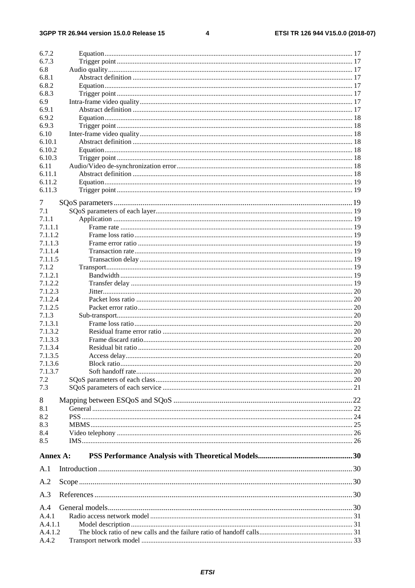$\overline{\mathbf{4}}$ 

| 6.7.2            |  |
|------------------|--|
| 6.7.3            |  |
| 6.8              |  |
| 6.8.1            |  |
| 6.8.2            |  |
| 6.8.3            |  |
| 6.9              |  |
| 6.9.1            |  |
| 6.9.2            |  |
| 6.9.3            |  |
| 6.10             |  |
| 6.10.1           |  |
| 6.10.2           |  |
| 6.10.3           |  |
|                  |  |
| 6.11<br>6.11.1   |  |
|                  |  |
| 6.11.2           |  |
| 6.11.3           |  |
| 7                |  |
| 7.1              |  |
| 7.1.1            |  |
| 7.1.1.1          |  |
| 7.1.1.2          |  |
| 7.1.1.3          |  |
| 7.1.1.4          |  |
| 7.1.1.5          |  |
| 7.1.2            |  |
| 7.1.2.1          |  |
| 7.1.2.2          |  |
| 7.1.2.3          |  |
| 7.1.2.4          |  |
| 7.1.2.5          |  |
| 7.1.3            |  |
| 7.1.3.1          |  |
| 7.1.3.2          |  |
| 7.1.3.3          |  |
| 7.1.3.4          |  |
| 7.1.3.5          |  |
| 7.1.3.6          |  |
| 7.1.3.7          |  |
| 7.2              |  |
| 7.3              |  |
|                  |  |
| 8                |  |
| 8.1              |  |
| 8.2              |  |
| 8.3              |  |
| 8.4              |  |
| 8.5              |  |
|                  |  |
| Annex A:         |  |
| A.1              |  |
| A.2              |  |
| A.3              |  |
|                  |  |
| A.4              |  |
| A.4.1            |  |
| A.4.1.1          |  |
| A.4.1.2<br>A.4.2 |  |
|                  |  |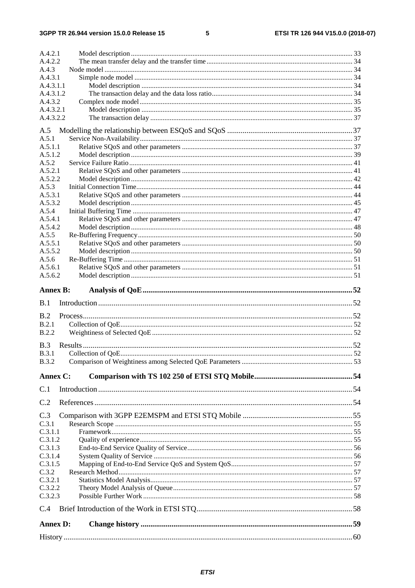### $5\phantom{a}$

| A.4.2.2            |  |
|--------------------|--|
|                    |  |
| A.4.3<br>A.4.3.1   |  |
| A.4.3.1.1          |  |
| A.4.3.1.2          |  |
| A.4.3.2            |  |
| A.4.3.2.1          |  |
| A.4.3.2.2          |  |
| A.5                |  |
| A.5.1              |  |
| A.5.1.1            |  |
| A.5.1.2            |  |
| A.5.2              |  |
| A.5.2.1            |  |
| A.5.2.2            |  |
| A.5.3<br>A.5.3.1   |  |
| A.5.3.2            |  |
| A.5.4              |  |
| A.5.4.1            |  |
| A.5.4.2            |  |
| A.5.5              |  |
| A.5.5.1            |  |
| A.5.5.2            |  |
| A.5.6              |  |
| A.5.6.1<br>A.5.6.2 |  |
|                    |  |
| <b>Annex B:</b>    |  |
| B.1                |  |
| B.2                |  |
| B.2.1              |  |
|                    |  |
| B.2.2              |  |
|                    |  |
| B.3                |  |
| <b>B.3.1</b>       |  |
| <b>B.3.2</b>       |  |
| Annex C:           |  |
| C.1                |  |
| C.2                |  |
| C.3                |  |
| C.3.1              |  |
| C.3.1.1            |  |
| C.3.1.2            |  |
| C.3.1.3            |  |
| C.3.1.4            |  |
| C.3.1.5            |  |
| C.3.2<br>C.3.2.1   |  |
| C.3.2.2            |  |
| C.3.2.3            |  |
| C.4                |  |
| <b>Annex D:</b>    |  |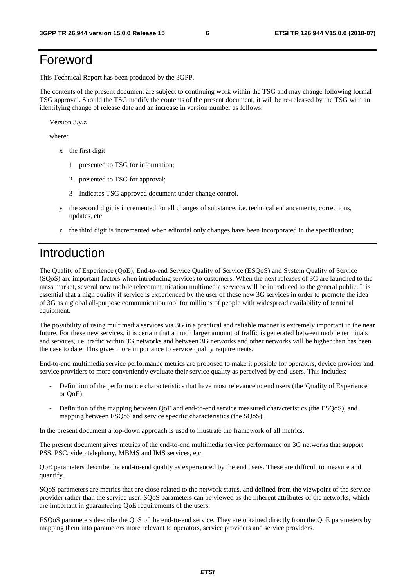# Foreword

This Technical Report has been produced by the 3GPP.

The contents of the present document are subject to continuing work within the TSG and may change following formal TSG approval. Should the TSG modify the contents of the present document, it will be re-released by the TSG with an identifying change of release date and an increase in version number as follows:

Version 3.y.z

where:

- x the first digit:
	- 1 presented to TSG for information;
	- 2 presented to TSG for approval;
	- 3 Indicates TSG approved document under change control.
- y the second digit is incremented for all changes of substance, i.e. technical enhancements, corrections, updates, etc.
- z the third digit is incremented when editorial only changes have been incorporated in the specification;

# Introduction

The Quality of Experience (QoE), End-to-end Service Quality of Service (ESQoS) and System Quality of Service (SQoS) are important factors when introducing services to customers. When the next releases of 3G are launched to the mass market, several new mobile telecommunication multimedia services will be introduced to the general public. It is essential that a high quality if service is experienced by the user of these new 3G services in order to promote the idea of 3G as a global all-purpose communication tool for millions of people with widespread availability of terminal equipment.

The possibility of using multimedia services via 3G in a practical and reliable manner is extremely important in the near future. For these new services, it is certain that a much larger amount of traffic is generated between mobile terminals and services, i.e. traffic within 3G networks and between 3G networks and other networks will be higher than has been the case to date. This gives more importance to service quality requirements.

End-to-end multimedia service performance metrics are proposed to make it possible for operators, device provider and service providers to more conveniently evaluate their service quality as perceived by end-users. This includes:

- Definition of the performance characteristics that have most relevance to end users (the 'Quality of Experience' or QoE).
- Definition of the mapping between QoE and end-to-end service measured characteristics (the ESQoS), and mapping between ESQoS and service specific characteristics (the SQoS).

In the present document a top-down approach is used to illustrate the framework of all metrics.

The present document gives metrics of the end-to-end multimedia service performance on 3G networks that support PSS, PSC, video telephony, MBMS and IMS services, etc.

QoE parameters describe the end-to-end quality as experienced by the end users. These are difficult to measure and quantify.

SQoS parameters are metrics that are close related to the network status, and defined from the viewpoint of the service provider rather than the service user. SQoS parameters can be viewed as the inherent attributes of the networks, which are important in guaranteeing QoE requirements of the users.

ESQoS parameters describe the QoS of the end-to-end service. They are obtained directly from the QoE parameters by mapping them into parameters more relevant to operators, service providers and service providers.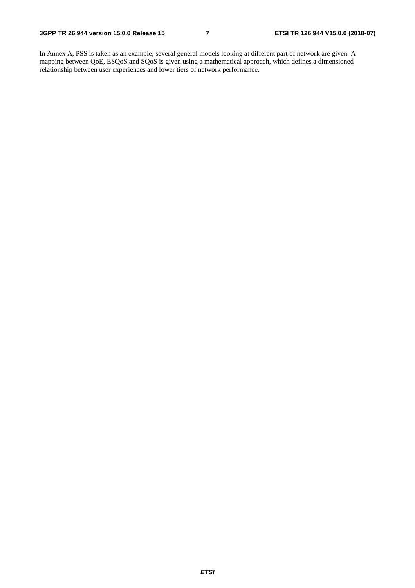In Annex A, PSS is taken as an example; several general models looking at different part of network are given. A mapping between QoE, ESQoS and SQoS is given using a mathematical approach, which defines a dimensioned relationship between user experiences and lower tiers of network performance.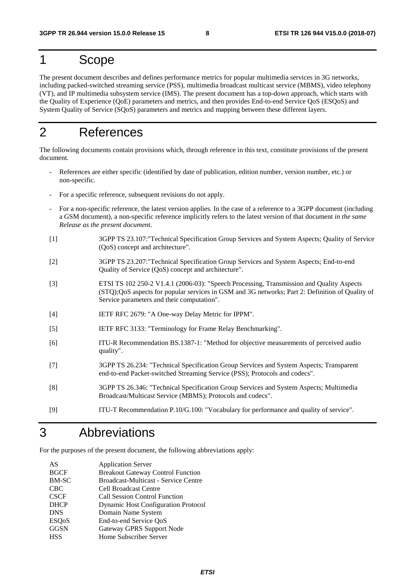# 1 Scope

The present document describes and defines performance metrics for popular multimedia services in 3G networks, including packed-switched streaming service (PSS), multimedia broadcast multicast service (MBMS), video telephony (VT), and IP multimedia subsystem service (IMS). The present document has a top-down approach, which starts with the Quality of Experience (QoE) parameters and metrics, and then provides End-to-end Service QoS (ESQoS) and System Quality of Service (SQoS) parameters and metrics and mapping between these different layers.

# 2 References

The following documents contain provisions which, through reference in this text, constitute provisions of the present document.

- References are either specific (identified by date of publication, edition number, version number, etc.) or non-specific.
- For a specific reference, subsequent revisions do not apply.
- For a non-specific reference, the latest version applies. In the case of a reference to a 3GPP document (including a GSM document), a non-specific reference implicitly refers to the latest version of that document *in the same Release as the present document*.
- [1] 3GPP TS 23.107:"Technical Specification Group Services and System Aspects; Quality of Service (QoS) concept and architecture".
- [2] 3GPP TS 23.207:"Technical Specification Group Services and System Aspects; End-to-end Quality of Service (QoS) concept and architecture".
- [3] ETSI TS 102 250-2 V1.4.1 (2006-03): "Speech Processing, Transmission and Quality Aspects (STQ);QoS aspects for popular services in GSM and 3G networks; Part 2: Definition of Quality of Service parameters and their computation".
- [4] IETF RFC 2679: "A One-way Delay Metric for IPPM".
- [5] IETF RFC 3133: "Terminology for Frame Relay Benchmarking".
- [6] ITU-R Recommendation BS.1387-1: "Method for objective measurements of perceived audio quality".
- [7] 3GPP TS 26.234: "Technical Specification Group Services and System Aspects; Transparent end-to-end Packet-switched Streaming Service (PSS); Protocols and codecs".
- [8] 3GPP TS 26.346: "Technical Specification Group Services and System Aspects; Multimedia Broadcast/Multicast Service (MBMS); Protocols and codecs".
- [9] ITU-T Recommendation P.10/G.100: "Vocabulary for performance and quality of service".

## 3 Abbreviations

For the purposes of the present document, the following abbreviations apply:

| <b>Application Server</b>                  |
|--------------------------------------------|
| <b>Breakout Gateway Control Function</b>   |
| Broadcast-Multicast - Service Centre       |
| <b>Cell Broadcast Centre</b>               |
| <b>Call Session Control Function</b>       |
| <b>Dynamic Host Configuration Protocol</b> |
| Domain Name System                         |
| End-to-end Service QoS                     |
| <b>Gateway GPRS Support Node</b>           |
| Home Subscriber Server                     |
|                                            |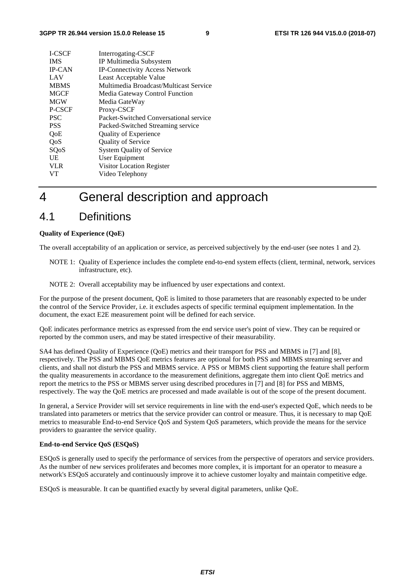| I-CSCF        | Interrogating-CSCF                     |
|---------------|----------------------------------------|
| <b>IMS</b>    | IP Multimedia Subsystem                |
| <b>IP-CAN</b> | <b>IP-Connectivity Access Network</b>  |
| LAV           | Least Acceptable Value                 |
| <b>MBMS</b>   | Multimedia Broadcast/Multicast Service |
| <b>MGCF</b>   | Media Gateway Control Function         |
| <b>MGW</b>    | Media GateWay                          |
| P-CSCF        | Proxy-CSCF                             |
| <b>PSC</b>    | Packet-Switched Conversational service |
| <b>PSS</b>    | Packed-Switched Streaming service      |
| <b>OoE</b>    | <b>Quality of Experience</b>           |
| QoS           | <b>Quality of Service</b>              |
| SQoS          | <b>System Quality of Service</b>       |
| UE            | User Equipment                         |
| <b>VLR</b>    | Visitor Location Register              |
| <b>VT</b>     | Video Telephony                        |
|               |                                        |

# 4 General description and approach

## 4.1 Definitions

### **Quality of Experience (QoE)**

The overall acceptability of an application or service, as perceived subjectively by the end-user (see notes 1 and 2).

- NOTE 1: Quality of Experience includes the complete end-to-end system effects (client, terminal, network, services infrastructure, etc).
- NOTE 2: Overall acceptability may be influenced by user expectations and context.

For the purpose of the present document, QoE is limited to those parameters that are reasonably expected to be under the control of the Service Provider, i.e. it excludes aspects of specific terminal equipment implementation. In the document, the exact E2E measurement point will be defined for each service.

QoE indicates performance metrics as expressed from the end service user's point of view. They can be required or reported by the common users, and may be stated irrespective of their measurability.

SA4 has defined Quality of Experience (QoE) metrics and their transport for PSS and MBMS in [7] and [8], respectively. The PSS and MBMS QoE metrics features are optional for both PSS and MBMS streaming server and clients, and shall not disturb the PSS and MBMS service. A PSS or MBMS client supporting the feature shall perform the quality measurements in accordance to the measurement definitions, aggregate them into client QoE metrics and report the metrics to the PSS or MBMS server using described procedures in [7] and [8] for PSS and MBMS, respectively. The way the QoE metrics are processed and made available is out of the scope of the present document.

In general, a Service Provider will set service requirements in line with the end-user's expected QoE, which needs to be translated into parameters or metrics that the service provider can control or measure. Thus, it is necessary to map QoE metrics to measurable End-to-end Service QoS and System QoS parameters, which provide the means for the service providers to guarantee the service quality.

### **End-to-end Service QoS (ESQoS)**

ESQoS is generally used to specify the performance of services from the perspective of operators and service providers. As the number of new services proliferates and becomes more complex, it is important for an operator to measure a network's ESQoS accurately and continuously improve it to achieve customer loyalty and maintain competitive edge.

ESQoS is measurable. It can be quantified exactly by several digital parameters, unlike QoE.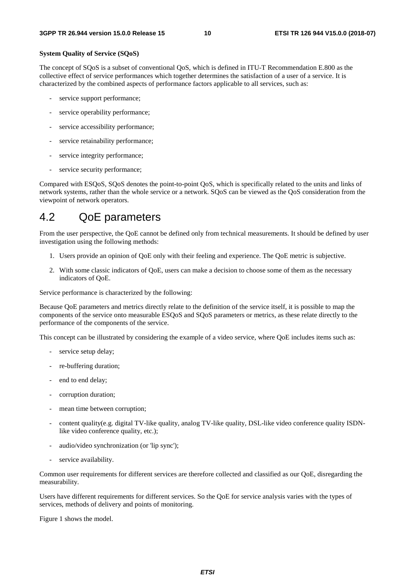### **System Quality of Service (SQoS)**

The concept of SQoS is a subset of conventional QoS, which is defined in ITU-T Recommendation E.800 as the collective effect of service performances which together determines the satisfaction of a user of a service. It is characterized by the combined aspects of performance factors applicable to all services, such as:

- service support performance;
- service operability performance;
- service accessibility performance;
- service retainability performance;
- service integrity performance;
- service security performance;

Compared with ESQoS, SQoS denotes the point-to-point QoS, which is specifically related to the units and links of network systems, rather than the whole service or a network. SQoS can be viewed as the QoS consideration from the viewpoint of network operators.

## 4.2 QoE parameters

From the user perspective, the QoE cannot be defined only from technical measurements. It should be defined by user investigation using the following methods:

- 1. Users provide an opinion of QoE only with their feeling and experience. The QoE metric is subjective.
- 2. With some classic indicators of QoE, users can make a decision to choose some of them as the necessary indicators of QoE.

Service performance is characterized by the following:

Because QoE parameters and metrics directly relate to the definition of the service itself, it is possible to map the components of the service onto measurable ESQoS and SQoS parameters or metrics, as these relate directly to the performance of the components of the service.

This concept can be illustrated by considering the example of a video service, where QoE includes items such as:

- service setup delay;
- re-buffering duration;
- end to end delay;
- corruption duration;
- mean time between corruption;
- content quality(e.g. digital TV-like quality, analog TV-like quality, DSL-like video conference quality ISDNlike video conference quality, etc.);
- audio/video synchronization (or 'lip sync');
- service availability.

Common user requirements for different services are therefore collected and classified as our QoE, disregarding the measurability.

Users have different requirements for different services. So the QoE for service analysis varies with the types of services, methods of delivery and points of monitoring.

Figure 1 shows the model.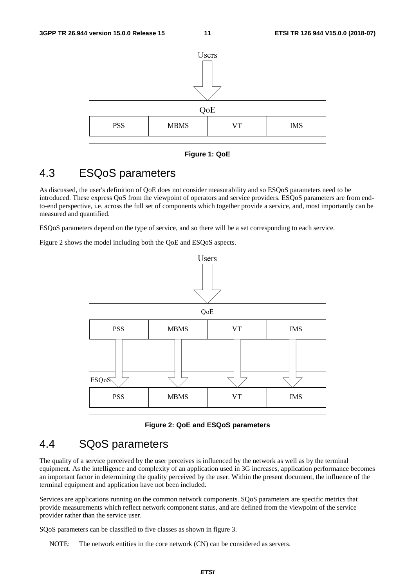

**Figure 1: QoE** 

## 4.3 ESQoS parameters

As discussed, the user's definition of QoE does not consider measurability and so ESQoS parameters need to be introduced. These express QoS from the viewpoint of operators and service providers. ESQoS parameters are from endto-end perspective, i.e. across the full set of components which together provide a service, and, most importantly can be measured and quantified.

ESQoS parameters depend on the type of service, and so there will be a set corresponding to each service.

Figure 2 shows the model including both the QoE and ESQoS aspects.



**Figure 2: QoE and ESQoS parameters** 

# 4.4 SQoS parameters

The quality of a service perceived by the user perceives is influenced by the network as well as by the terminal equipment. As the intelligence and complexity of an application used in 3G increases, application performance becomes an important factor in determining the quality perceived by the user. Within the present document, the influence of the terminal equipment and application have not been included.

Services are applications running on the common network components. SQoS parameters are specific metrics that provide measurements which reflect network component status, and are defined from the viewpoint of the service provider rather than the service user.

SQoS parameters can be classified to five classes as shown in figure 3.

NOTE: The network entities in the core network (CN) can be considered as servers.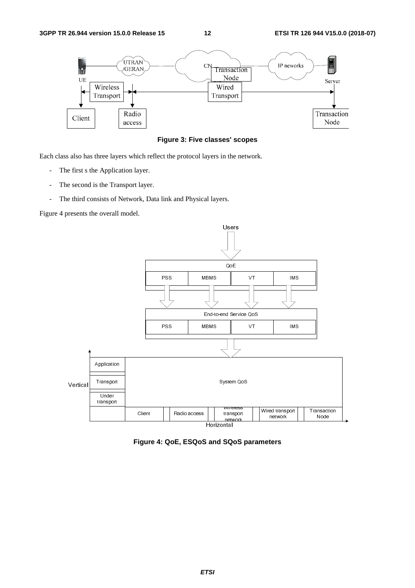

**Figure 3: Five classes' scopes** 

Each class also has three layers which reflect the protocol layers in the network.

- The first s the Application layer.
- The second is the Transport layer.
- The third consists of Network, Data link and Physical layers.

Figure 4 presents the overall model.



Horizontal

**Figure 4: QoE, ESQoS and SQoS parameters**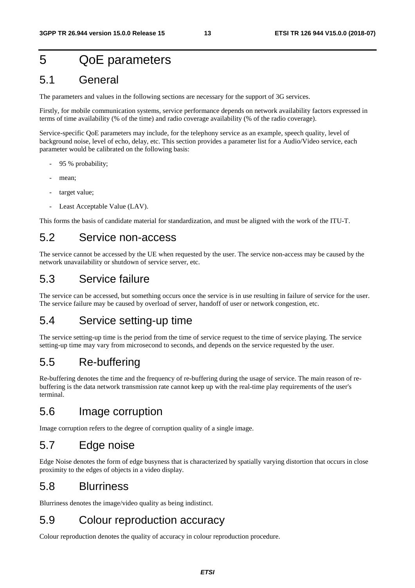# 5 QoE parameters

## 5.1 General

The parameters and values in the following sections are necessary for the support of 3G services.

Firstly, for mobile communication systems, service performance depends on network availability factors expressed in terms of time availability (% of the time) and radio coverage availability (% of the radio coverage).

Service-specific QoE parameters may include, for the telephony service as an example, speech quality, level of background noise, level of echo, delay, etc. This section provides a parameter list for a Audio/Video service, each parameter would be calibrated on the following basis:

- 95 % probability;
- mean;
- target value:
- Least Acceptable Value (LAV).

This forms the basis of candidate material for standardization, and must be aligned with the work of the ITU-T.

## 5.2 Service non-access

The service cannot be accessed by the UE when requested by the user. The service non-access may be caused by the network unavailability or shutdown of service server, etc.

## 5.3 Service failure

The service can be accessed, but something occurs once the service is in use resulting in failure of service for the user. The service failure may be caused by overload of server, handoff of user or network congestion, etc.

## 5.4 Service setting-up time

The service setting-up time is the period from the time of service request to the time of service playing. The service setting-up time may vary from microsecond to seconds, and depends on the service requested by the user.

## 5.5 Re-buffering

Re-buffering denotes the time and the frequency of re-buffering during the usage of service. The main reason of rebuffering is the data network transmission rate cannot keep up with the real-time play requirements of the user's terminal.

## 5.6 Image corruption

Image corruption refers to the degree of corruption quality of a single image.

## 5.7 Edge noise

Edge Noise denotes the form of edge busyness that is characterized by spatially varying distortion that occurs in close proximity to the edges of objects in a video display.

## 5.8 Blurriness

Blurriness denotes the image/video quality as being indistinct.

## 5.9 Colour reproduction accuracy

Colour reproduction denotes the quality of accuracy in colour reproduction procedure.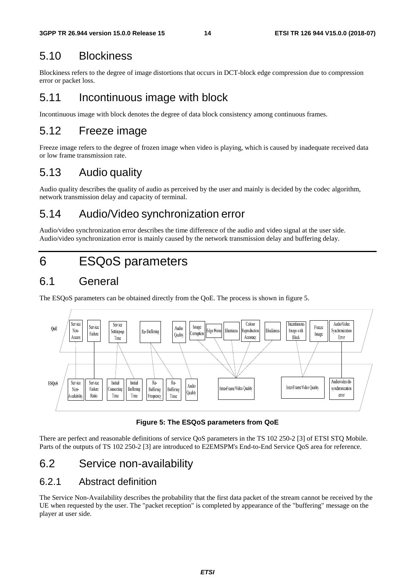# 5.10 Blockiness

Blockiness refers to the degree of image distortions that occurs in DCT-block edge compression due to compression error or packet loss.

# 5.11 Incontinuous image with block

Incontinuous image with block denotes the degree of data block consistency among continuous frames.

# 5.12 Freeze image

Freeze image refers to the degree of frozen image when video is playing, which is caused by inadequate received data or low frame transmission rate.

# 5.13 Audio quality

Audio quality describes the quality of audio as perceived by the user and mainly is decided by the codec algorithm, network transmission delay and capacity of terminal.

# 5.14 Audio/Video synchronization error

Audio/video synchronization error describes the time difference of the audio and video signal at the user side. Audio/video synchronization error is mainly caused by the network transmission delay and buffering delay.

# 6 ESQoS parameters

# 6.1 General

The ESQoS parameters can be obtained directly from the QoE. The process is shown in figure 5.



**Figure 5: The ESQoS parameters from QoE** 

There are perfect and reasonable definitions of service QoS parameters in the TS 102 250-2 [3] of ETSI STQ Mobile. Parts of the outputs of TS 102 250-2 [3] are introduced to E2EMSPM's End-to-End Service QoS area for reference.

# 6.2 Service non-availability

## 6.2.1 Abstract definition

The Service Non-Availability describes the probability that the first data packet of the stream cannot be received by the UE when requested by the user. The "packet reception" is completed by appearance of the "buffering" message on the player at user side.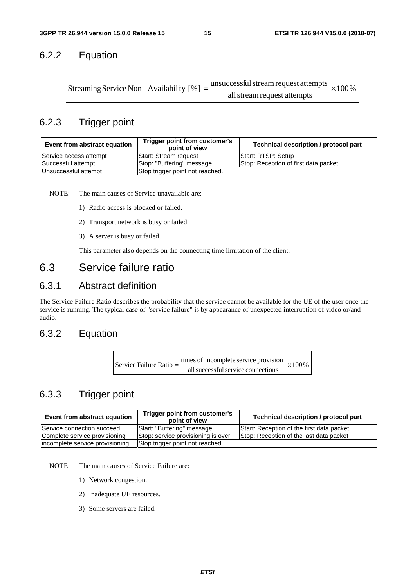## 6.2.2 Equation

| Streaming Service Non - Availability $[\%] = -$ | $=\frac{$ unsuccessful stream request attempts $\times100\%$ |  |
|-------------------------------------------------|--------------------------------------------------------------|--|
|                                                 | all stream request attempts                                  |  |

## 6.2.3 Trigger point

| Event from abstract equation | Trigger point from customer's<br>point of view | Technical description / protocol part |
|------------------------------|------------------------------------------------|---------------------------------------|
| Service access attempt       | <b>Start: Stream request</b>                   | Start: RTSP: Setup                    |
| Successful attempt           | Stop: "Buffering" message                      | Stop: Reception of first data packet  |
| Unsuccessful attempt         | Stop trigger point not reached.                |                                       |

NOTE: The main causes of Service unavailable are:

- 1) Radio access is blocked or failed.
- 2) Transport network is busy or failed.
- 3) A server is busy or failed.

This parameter also depends on the connecting time limitation of the client.

## 6.3 Service failure ratio

### 6.3.1 Abstract definition

The Service Failure Ratio describes the probability that the service cannot be available for the UE of the user once the service is running. The typical case of "service failure" is by appearance of unexpected interruption of video or/and audio.

## 6.3.2 Equation

 $- \times 100\%$ allsuccessfulservice connections Service Failure Ratio  $=$   $\frac{\text{times of incomplete service}}{\text{times}}$ 

## 6.3.3 Trigger point

| Event from abstract equation    | Trigger point from customer's<br>point of view | Technical description / protocol part     |
|---------------------------------|------------------------------------------------|-------------------------------------------|
| Service connection succeed      | Start: "Buffering" message                     | Start: Reception of the first data packet |
| Complete service provisioning   | Stop: service provisioning is over             | Stop: Reception of the last data packet   |
| incomplete service provisioning | Stop trigger point not reached.                |                                           |

NOTE: The main causes of Service Failure are:

- 1) Network congestion.
- 2) Inadequate UE resources.
- 3) Some servers are failed.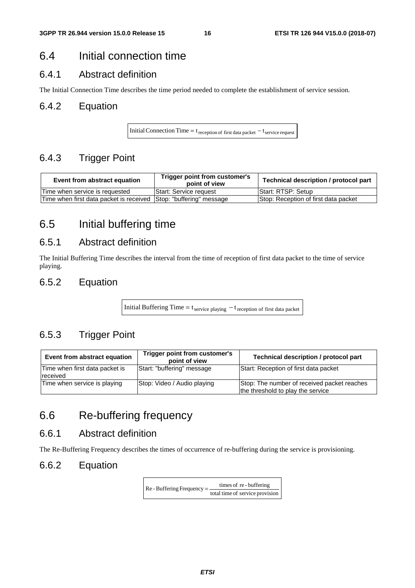## 6.4 Initial connection time

## 6.4.1 Abstract definition

The Initial Connection Time describes the time period needed to complete the establishment of service session.

## 6.4.2 Equation

Initial Connection Time =  $t_{\text{reception of first data packet}} - t_{\text{service request}}$ 

## 6.4.3 Trigger Point

| Event from abstract equation                                       | Trigger point from customer's<br>point of view | Technical description / protocol part |
|--------------------------------------------------------------------|------------------------------------------------|---------------------------------------|
| Time when service is requested                                     | <b>Start: Service request</b>                  | Start: RTSP: Setup                    |
| Time when first data packet is received [Stop: "buffering" message |                                                | Stop: Reception of first data packet  |

# 6.5 Initial buffering time

## 6.5.1 Abstract definition

The Initial Buffering Time describes the interval from the time of reception of first data packet to the time of service playing.

## 6.5.2 Equation

Initial Buffering Time =  $t_{\text{service playing}} - t_{\text{reception of first data packet}}$ 

## 6.5.3 Trigger Point

| Event from abstract equation                      | Trigger point from customer's<br>point of view | Technical description / protocol part                                            |
|---------------------------------------------------|------------------------------------------------|----------------------------------------------------------------------------------|
| Time when first data packet is<br><b>received</b> | Start: "buffering" message                     | Start: Reception of first data packet                                            |
| Time when service is playing                      | Stop: Video / Audio playing                    | Stop: The number of received packet reaches<br>the threshold to play the service |

## 6.6 Re-buffering frequency

## 6.6.1 Abstract definition

The Re-Buffering Frequency describes the times of occurrence of re-buffering during the service is provisioning.

### 6.6.2 Equation

total time of service provision  $\text{Re}$  - Buffering Frequency =  $\frac{\text{times of re} - \text{buffering}}{\text{times of re} + \text{buffering}}$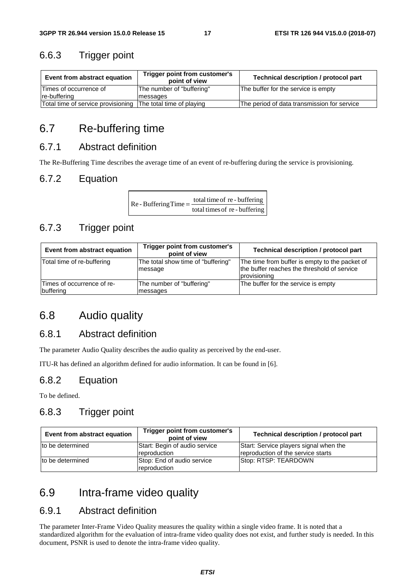## 6.6.3 Trigger point

| Event from abstract equation       | Trigger point from customer's<br>point of view | Technical description / protocol part       |
|------------------------------------|------------------------------------------------|---------------------------------------------|
| Times of occurrence of             | The number of "buffering"                      | The buffer for the service is empty         |
| re-buffering                       | messages                                       |                                             |
| Total time of service provisioning | The total time of playing                      | The period of data transmission for service |

## 6.7 Re-buffering time

## 6.7.1 Abstract definition

 $\mathsf{r}$ 

The Re-Buffering Time describes the average time of an event of re-buffering during the service is provisioning.

## 6.7.2 Equation

| $\text{Re}$ - Buffering Time = $\frac{\text{total time of}}{\text{sec}$ | total time of re - buffering  |
|-------------------------------------------------------------------------|-------------------------------|
|                                                                         | total times of re - buffering |

## 6.7.3 Trigger point

| Event from abstract equation            | Trigger point from customer's<br>point of view | Technical description / protocol part                                                                         |  |  |  |
|-----------------------------------------|------------------------------------------------|---------------------------------------------------------------------------------------------------------------|--|--|--|
| Total time of re-buffering              | The total show time of "buffering"<br>message  | The time from buffer is empty to the packet of<br>the buffer reaches the threshold of service<br>provisioning |  |  |  |
| Times of occurrence of re-<br>buffering | The number of "buffering"<br>messages          | The buffer for the service is empty                                                                           |  |  |  |

## 6.8 Audio quality

## 6.8.1 Abstract definition

The parameter Audio Quality describes the audio quality as perceived by the end-user.

ITU-R has defined an algorithm defined for audio information. It can be found in [6].

## 6.8.2 Equation

To be defined.

## 6.8.3 Trigger point

| Event from abstract equation | Trigger point from customer's<br>point of view | Technical description / protocol part                                        |
|------------------------------|------------------------------------------------|------------------------------------------------------------------------------|
| to be determined             | Start: Begin of audio service<br>reproduction  | Start: Service players signal when the<br>reproduction of the service starts |
| to be determined             | Stop: End of audio service<br>reproduction     | Stop: RTSP: TEARDOWN                                                         |

## 6.9 Intra-frame video quality

## 6.9.1 Abstract definition

The parameter Inter-Frame Video Quality measures the quality within a single video frame. It is noted that a standardized algorithm for the evaluation of intra-frame video quality does not exist, and further study is needed. In this document, PSNR is used to denote the intra-frame video quality.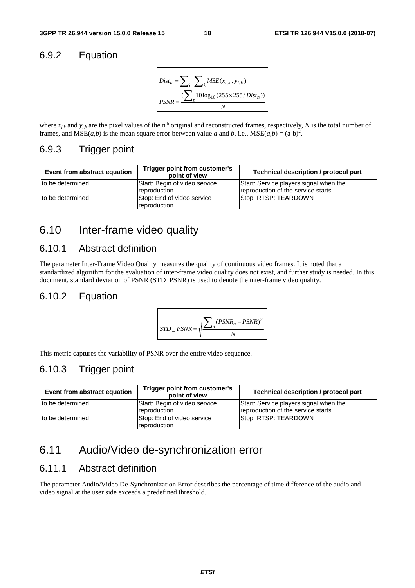## 6.9.2 Equation



where  $x_{i,k}$  and  $y_{i,k}$  are the pixel values of the n<sup>th</sup> original and reconstructed frames, respectively, N is the total number of frames, and  $MSE(a,b)$  is the mean square error between value *a* and *b*, i.e.,  $MSE(a,b) = (a-b)^2$ .

### 6.9.3 Trigger point

| Event from abstract equation | Trigger point from customer's<br>point of view | Technical description / protocol part                                        |
|------------------------------|------------------------------------------------|------------------------------------------------------------------------------|
| to be determined             | Start: Begin of video service<br>reproduction  | Start: Service players signal when the<br>reproduction of the service starts |
| to be determined             | Stop: End of video service<br>reproduction     | Stop: RTSP: TEARDOWN                                                         |

# 6.10 Inter-frame video quality

## 6.10.1 Abstract definition

The parameter Inter-Frame Video Quality measures the quality of continuous video frames. It is noted that a standardized algorithm for the evaluation of inter-frame video quality does not exist, and further study is needed. In this document, standard deviation of PSNR (STD\_PSNR) is used to denote the inter-frame video quality.

### 6.10.2 Equation

$$
STD_{PSNR} = \sqrt{\frac{\sum_{n} (PSNR_{n} - PSNR)^{2}}{N}}
$$

This metric captures the variability of PSNR over the entire video sequence.

## 6.10.3 Trigger point

| Event from abstract equation | Trigger point from customer's<br>point of view       | Technical description / protocol part                                        |
|------------------------------|------------------------------------------------------|------------------------------------------------------------------------------|
| to be determined             | Start: Begin of video service<br><i>reproduction</i> | Start: Service players signal when the<br>reproduction of the service starts |
| Ito be determined            | Stop: End of video service<br>reproduction           | Stop: RTSP: TEARDOWN                                                         |

## 6.11 Audio/Video de-synchronization error

### 6.11.1 Abstract definition

The parameter Audio/Video De-Synchronization Error describes the percentage of time difference of the audio and video signal at the user side exceeds a predefined threshold.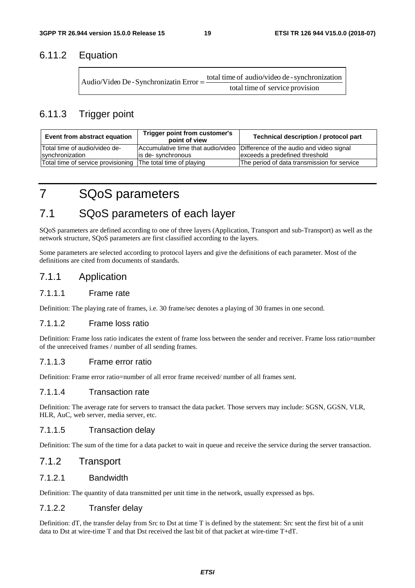## 6.11.2 Equation

| Audio/Video De - Synchronizatin Error $=$ – | total time of audio/video de - synchronization |
|---------------------------------------------|------------------------------------------------|
|                                             | total time of service provision                |

## 6.11.3 Trigger point

| Event from abstract equation                                 | Trigger point from customer's<br>point of view | Technical description / protocol part                                       |
|--------------------------------------------------------------|------------------------------------------------|-----------------------------------------------------------------------------|
| Total time of audio/video de-                                |                                                | Accumulative time that audio/video Difference of the audio and video signal |
| synchronization                                              | is de-synchronous                              | exceeds a predefined threshold                                              |
| Total time of service provisioning The total time of playing |                                                | The period of data transmission for service                                 |

# 7 SQoS parameters

# 7.1 SQoS parameters of each layer

SQoS parameters are defined according to one of three layers (Application, Transport and sub-Transport) as well as the network structure, SQoS parameters are first classified according to the layers.

Some parameters are selected according to protocol layers and give the definitions of each parameter. Most of the definitions are cited from documents of standards.

### 7.1.1 Application

### 7.1.1.1 Frame rate

Definition: The playing rate of frames, i.e. 30 frame/sec denotes a playing of 30 frames in one second.

### 7.1.1.2 Frame loss ratio

Definition: Frame loss ratio indicates the extent of frame loss between the sender and receiver. Frame loss ratio=number of the unreceived frames / number of all sending frames.

### 7.1.1.3 Frame error ratio

Definition: Frame error ratio=number of all error frame received/ number of all frames sent.

### 7.1.1.4 Transaction rate

Definition: The average rate for servers to transact the data packet. Those servers may include: SGSN, GGSN, VLR, HLR, AuC, web server, media server, etc.

### 7.1.1.5 Transaction delay

Definition: The sum of the time for a data packet to wait in queue and receive the service during the server transaction.

### 7.1.2 Transport

### 7.1.2.1 Bandwidth

Definition: The quantity of data transmitted per unit time in the network, usually expressed as bps.

### 7.1.2.2 Transfer delay

Definition: dT, the transfer delay from Src to Dst at time T is defined by the statement: Src sent the first bit of a unit data to Dst at wire-time T and that Dst received the last bit of that packet at wire-time T+dT.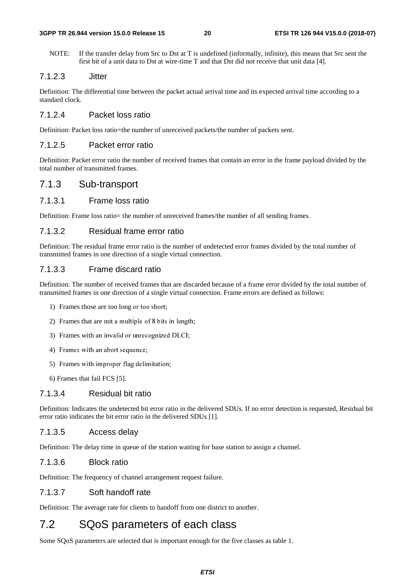### **3GPP TR 26.944 version 15.0.0 Release 15 20 ETSI TR 126 944 V15.0.0 (2018-07)**

NOTE: If the transfer delay from Src to Dst at T is undefined (informally, infinite), this means that Src sent the first bit of a unit data to Dst at wire-time T and that Dst did not receive that unit data [4].

### 7.1.2.3 Jitter

Definition: The differential time between the packet actual arrival time and its expected arrival time according to a standard clock.

### 7.1.2.4 Packet loss ratio

Definition: Packet loss ratio=the number of unreceived packets/the number of packets sent.

### 7.1.2.5 Packet error ratio

Definition: Packet error ratio the number of received frames that contain an error in the frame payload divided by the total number of transmitted frames.

### 7.1.3 Sub-transport

### 7.1.3.1 Frame loss ratio

Definition: Frame loss ratio= the number of unreceived frames/the number of all sending frames.

### 7.1.3.2 Residual frame error ratio

Definition: The residual frame error ratio is the number of undetected error frames divided by the total number of transmitted frames in one direction of a single virtual connection.

### 7.1.3.3 Frame discard ratio

Definition: The number of received frames that are discarded because of a frame error divided by the total number of transmitted frames in one direction of a single virtual connection. Frame errors are defined as follows:

- 1) Frames those are too long or too short;
- 2) Frames that are not a multiple of 8 bits in length;
- 3) Frames with an invalid or unrecognized DLCI;
- 4) Frames with an abort sequence;
- 5) Frames with improper flag delimitation;
- 6) Frames that fail FCS [5].

### 7.1.3.4 Residual bit ratio

Definition: Indicates the undetected bit error ratio in the delivered SDUs. If no error detection is requested, Residual bit error ratio indicates the bit error ratio in the delivered SDUs [1].

### 7.1.3.5 Access delay

Definition: The delay time in queue of the station waiting for base station to assign a channel.

### 7.1.3.6 Block ratio

Definition: The frequency of channel arrangement request failure.

### 7.1.3.7 Soft handoff rate

Definition: The average rate for clients to handoff from one district to another.

# 7.2 SQoS parameters of each class

Some SQoS parameters are selected that is important enough for the five classes as table 1.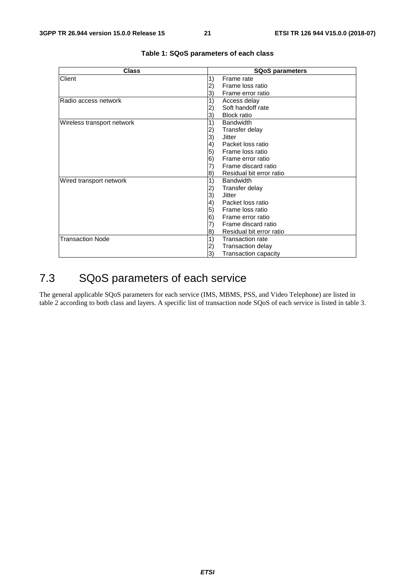| <b>Class</b>               | <b>SQoS parameters</b>                       |  |  |  |
|----------------------------|----------------------------------------------|--|--|--|
| Client                     | 1)<br>Frame rate                             |  |  |  |
|                            | Frame loss ratio<br>2)                       |  |  |  |
|                            | Frame error ratio<br>3)                      |  |  |  |
| Radio access network       | 1)<br>Access delay                           |  |  |  |
|                            | Soft handoff rate<br>2)                      |  |  |  |
|                            | <b>Block ratio</b><br>3)                     |  |  |  |
| Wireless transport network | <b>Bandwidth</b><br>1)                       |  |  |  |
|                            | 2)<br>Transfer delay                         |  |  |  |
|                            | 3)<br>Jitter                                 |  |  |  |
|                            | $\left( 4\right)$<br>Packet loss ratio       |  |  |  |
|                            | 5)<br>Frame loss ratio                       |  |  |  |
|                            | 6)<br>Frame error ratio                      |  |  |  |
|                            | Frame discard ratio<br>7)                    |  |  |  |
|                            | Residual bit error ratio<br>8)               |  |  |  |
| Wired transport network    | 1)<br><b>Bandwidth</b>                       |  |  |  |
|                            | Transfer delay<br>2)                         |  |  |  |
|                            | 3)<br><b>Jitter</b>                          |  |  |  |
|                            | Packet loss ratio<br>$\left( 4\right)$       |  |  |  |
|                            | 5)<br>Frame loss ratio                       |  |  |  |
|                            | 6)<br>Frame error ratio                      |  |  |  |
|                            | Frame discard ratio<br>7)                    |  |  |  |
|                            | Residual bit error ratio<br>$\vert 8\rangle$ |  |  |  |
| <b>Transaction Node</b>    | 1)<br><b>Transaction rate</b>                |  |  |  |
|                            | <b>Transaction delay</b><br>2)               |  |  |  |
|                            | 3)<br><b>Transaction capacity</b>            |  |  |  |

### **Table 1: SQoS parameters of each class**

# 7.3 SQoS parameters of each service

The general applicable SQoS parameters for each service (IMS, MBMS, PSS, and Video Telephone) are listed in table 2 according to both class and layers. A specific list of transaction node SQoS of each service is listed in table 3.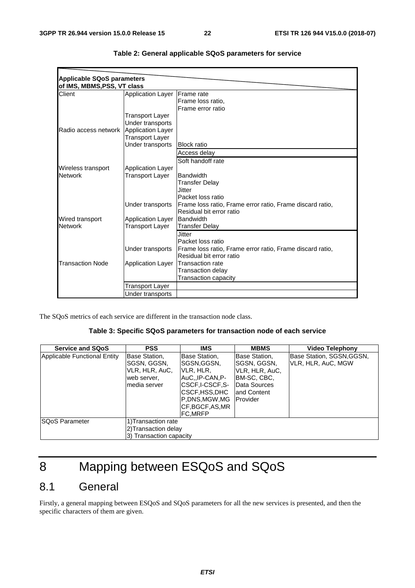| <b>Applicable SQoS parameters</b> |                          |                                                           |
|-----------------------------------|--------------------------|-----------------------------------------------------------|
| of IMS, MBMS, PSS, VT class       |                          |                                                           |
| Client                            | <b>Application Layer</b> | <b>IFrame</b> rate                                        |
|                                   |                          | Frame loss ratio,                                         |
|                                   |                          | Frame error ratio                                         |
|                                   | Transport Layer          |                                                           |
|                                   | Under transports         |                                                           |
| Radio access network              | Application Layer        |                                                           |
|                                   | Transport Layer          |                                                           |
|                                   | Under transports         | <b>Block ratio</b>                                        |
|                                   |                          | Access delay                                              |
|                                   |                          | Soft handoff rate                                         |
| Wireless transport                | <b>Application Layer</b> |                                                           |
| <b>Network</b>                    | Transport Layer          | <b>Bandwidth</b>                                          |
|                                   |                          | <b>Transfer Delay</b>                                     |
|                                   |                          | Jitter                                                    |
|                                   |                          | Packet loss ratio                                         |
|                                   | Under transports         | Frame loss ratio, Frame error ratio, Frame discard ratio, |
|                                   |                          | Residual bit error ratio                                  |
| Wired transport                   | <b>Application Layer</b> | Bandwidth                                                 |
| <b>Network</b>                    | Transport Layer          | <b>Transfer Delay</b>                                     |
|                                   |                          | <b>Jitter</b>                                             |
|                                   |                          | Packet loss ratio                                         |
|                                   | Under transports         | Frame loss ratio, Frame error ratio, Frame discard ratio, |
|                                   |                          | Residual bit error ratio                                  |
| <b>Transaction Node</b>           | <b>Application Layer</b> | Transaction rate                                          |
|                                   |                          | Transaction delay                                         |
|                                   |                          | Transaction capacity                                      |
|                                   | Transport Layer          |                                                           |
|                                   | Under transports         |                                                           |

| Table 2: General applicable SQoS parameters for service |  |  |  |  |  |
|---------------------------------------------------------|--|--|--|--|--|
|---------------------------------------------------------|--|--|--|--|--|

The SQoS metrics of each service are different in the transaction node class.

### **Table 3: Specific SQoS parameters for transaction node of each service**

| <b>Service and SQoS</b>      | <b>PSS</b>                                                                    | <b>IMS</b>                                                                                                                                     | <b>MBMS</b>                                                                                                         | Video Telephony                                 |
|------------------------------|-------------------------------------------------------------------------------|------------------------------------------------------------------------------------------------------------------------------------------------|---------------------------------------------------------------------------------------------------------------------|-------------------------------------------------|
| Applicable Functional Entity | Base Station,<br>SGSN, GGSN,<br>VLR, HLR, AuC,<br>web server,<br>media server | Base Station,<br>ISGSN,GGSN,<br>VLR, HLR,<br>AuC.,IP-CAN,P-<br> CSCF.I-CSCF.S-<br>CSCF, HSS, DHC<br>P.DNS.MGW.MG<br>ICF.BGCF.AS.MR<br>IFC.MRFP | Base Station,<br>ISGSN, GGSN,<br>VLR, HLR, AuC,<br> BM-SC, CBC,<br>Data Sources<br>land Content<br><b>IProvider</b> | Base Station, SGSN, GGSN,<br>VLR, HLR, AuC, MGW |
| <b>ISQoS Parameter</b>       | 1) Transaction rate<br>2) Transaction delay<br>3) Transaction capacity        |                                                                                                                                                |                                                                                                                     |                                                 |

# 8 Mapping between ESQoS and SQoS

# 8.1 General

Firstly, a general mapping between ESQoS and SQoS parameters for all the new services is presented, and then the specific characters of them are given.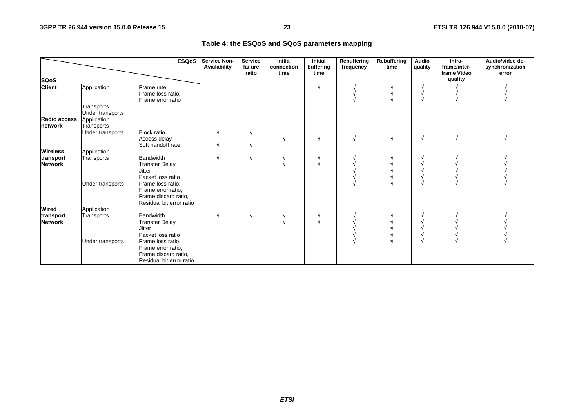### **Table 4: the ESQoS and SQoS parameters mapping**

|                              |                  | <b>ESQoS</b>             | Service Non-<br>Availability | <b>Service</b><br>failure<br>ratio | <b>Initial</b><br>connection<br>time | <b>Initial</b><br>buffering<br>time | <b>Rebuffering</b><br>frequency | Rebuffering<br>time | Audio<br>quality | Intra-<br>frame/inter-<br>frame Video<br>quality | Audio/video de-<br>synchronization<br>error |
|------------------------------|------------------|--------------------------|------------------------------|------------------------------------|--------------------------------------|-------------------------------------|---------------------------------|---------------------|------------------|--------------------------------------------------|---------------------------------------------|
| <b>SQoS</b><br><b>Client</b> |                  |                          |                              |                                    |                                      |                                     |                                 |                     |                  |                                                  |                                             |
|                              | Application      | Frame rate               |                              |                                    |                                      | N.                                  |                                 |                     |                  |                                                  |                                             |
|                              |                  | Frame loss ratio,        |                              |                                    |                                      |                                     |                                 |                     |                  |                                                  |                                             |
|                              |                  | Frame error ratio        |                              |                                    |                                      |                                     |                                 |                     |                  |                                                  |                                             |
|                              | Transports       |                          |                              |                                    |                                      |                                     |                                 |                     |                  |                                                  |                                             |
|                              | Under transports |                          |                              |                                    |                                      |                                     |                                 |                     |                  |                                                  |                                             |
| Radio access                 | Application      |                          |                              |                                    |                                      |                                     |                                 |                     |                  |                                                  |                                             |
| network                      | Transports       |                          |                              |                                    |                                      |                                     |                                 |                     |                  |                                                  |                                             |
|                              | Under transports | <b>Block ratio</b>       |                              | N                                  |                                      |                                     |                                 |                     |                  |                                                  |                                             |
|                              |                  | Access delay             |                              |                                    |                                      | V                                   |                                 | N                   | N                |                                                  |                                             |
|                              |                  | Soft handoff rate        |                              | N.                                 |                                      |                                     |                                 |                     |                  |                                                  |                                             |
| <b>Wireless</b>              | Application      |                          |                              |                                    |                                      |                                     |                                 |                     |                  |                                                  |                                             |
| transport                    | Transports       | <b>Bandwidth</b>         |                              | N.                                 |                                      |                                     |                                 |                     |                  |                                                  |                                             |
| <b>Network</b>               |                  | <b>Transfer Delay</b>    |                              |                                    |                                      |                                     |                                 |                     |                  |                                                  |                                             |
|                              |                  | <b>Jitter</b>            |                              |                                    |                                      |                                     |                                 |                     |                  |                                                  |                                             |
|                              |                  | Packet loss ratio        |                              |                                    |                                      |                                     |                                 |                     |                  |                                                  |                                             |
|                              | Under transports | Frame loss ratio,        |                              |                                    |                                      |                                     |                                 |                     |                  |                                                  |                                             |
|                              |                  | Frame error ratio,       |                              |                                    |                                      |                                     |                                 |                     |                  |                                                  |                                             |
|                              |                  | Frame discard ratio,     |                              |                                    |                                      |                                     |                                 |                     |                  |                                                  |                                             |
|                              |                  | Residual bit error ratio |                              |                                    |                                      |                                     |                                 |                     |                  |                                                  |                                             |
| <b>Wired</b>                 | Application      |                          |                              |                                    |                                      |                                     |                                 |                     |                  |                                                  |                                             |
| transport                    | Transports       | Bandwidth                |                              | N                                  |                                      |                                     |                                 |                     |                  |                                                  |                                             |
| <b>Network</b>               |                  | <b>Transfer Delay</b>    |                              |                                    |                                      | V                                   |                                 |                     |                  |                                                  |                                             |
|                              |                  | <b>Jitter</b>            |                              |                                    |                                      |                                     |                                 |                     |                  |                                                  |                                             |
|                              |                  | Packet loss ratio        |                              |                                    |                                      |                                     |                                 |                     |                  |                                                  |                                             |
|                              |                  |                          |                              |                                    |                                      |                                     |                                 |                     |                  |                                                  |                                             |
|                              | Under transports | Frame loss ratio,        |                              |                                    |                                      |                                     |                                 |                     |                  |                                                  |                                             |
|                              |                  | Frame error ratio,       |                              |                                    |                                      |                                     |                                 |                     |                  |                                                  |                                             |
|                              |                  | Frame discard ratio,     |                              |                                    |                                      |                                     |                                 |                     |                  |                                                  |                                             |
|                              |                  | Residual bit error ratio |                              |                                    |                                      |                                     |                                 |                     |                  |                                                  |                                             |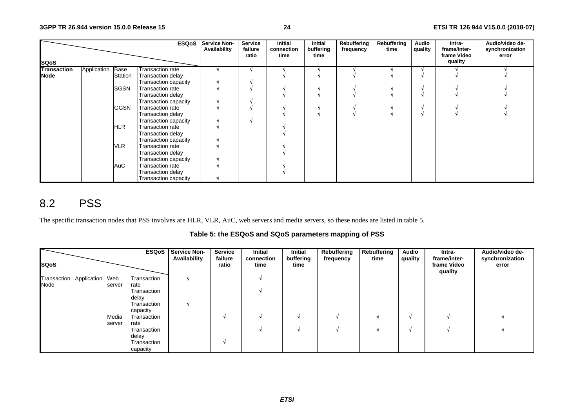|                    |             |             | <b>ESQoS</b>                | <b>Service Non-</b><br>Availability | Service<br>failure<br>ratio | <b>Initial</b><br>connection<br>time | Initial<br>buffering<br>time | Rebuffering<br>frequency | Rebuffering<br>time | Audio<br>quality | Intra-<br>frame/inter-<br>frame Video | Audio/video de-<br>synchronization<br>error |
|--------------------|-------------|-------------|-----------------------------|-------------------------------------|-----------------------------|--------------------------------------|------------------------------|--------------------------|---------------------|------------------|---------------------------------------|---------------------------------------------|
| <b>SQoS</b>        |             |             |                             |                                     |                             |                                      |                              |                          |                     |                  | quality                               |                                             |
| <b>Transaction</b> | Application | Base        | Transaction rate            |                                     |                             |                                      |                              |                          |                     |                  |                                       |                                             |
| <b>Node</b>        |             | Station     | <b>Transaction delay</b>    |                                     |                             |                                      |                              |                          |                     |                  |                                       |                                             |
|                    |             |             | Transaction capacity        |                                     |                             |                                      |                              |                          |                     |                  |                                       |                                             |
|                    |             | <b>SGSN</b> | <b>Transaction rate</b>     |                                     |                             |                                      |                              |                          |                     |                  |                                       |                                             |
|                    |             |             | Transaction delay           |                                     |                             |                                      |                              |                          |                     |                  |                                       |                                             |
|                    |             |             | Transaction capacity        |                                     |                             |                                      |                              |                          |                     |                  |                                       |                                             |
|                    |             | <b>GGSN</b> | <b>Transaction rate</b>     |                                     |                             |                                      |                              |                          |                     |                  |                                       |                                             |
|                    |             |             | Transaction delay           |                                     |                             |                                      |                              |                          |                     |                  |                                       |                                             |
|                    |             |             | Transaction capacity        |                                     |                             |                                      |                              |                          |                     |                  |                                       |                                             |
|                    |             | HLR         | <b>Transaction rate</b>     |                                     |                             |                                      |                              |                          |                     |                  |                                       |                                             |
|                    |             |             | Transaction delay           |                                     |                             |                                      |                              |                          |                     |                  |                                       |                                             |
|                    |             |             | <b>Transaction capacity</b> |                                     |                             |                                      |                              |                          |                     |                  |                                       |                                             |
|                    |             | <b>VLR</b>  | Transaction rate            |                                     |                             |                                      |                              |                          |                     |                  |                                       |                                             |
|                    |             |             | Transaction delay           |                                     |                             |                                      |                              |                          |                     |                  |                                       |                                             |
|                    |             |             | Transaction capacity        |                                     |                             |                                      |                              |                          |                     |                  |                                       |                                             |
|                    |             | AuC         | Transaction rate            |                                     |                             |                                      |                              |                          |                     |                  |                                       |                                             |
|                    |             |             | Transaction delay           |                                     |                             |                                      |                              |                          |                     |                  |                                       |                                             |
|                    |             |             | Transaction capacity        |                                     |                             |                                      |                              |                          |                     |                  |                                       |                                             |

# 8.2 PSS

The specific transaction nodes that PSS involves are HLR, VLR, AuC, web servers and media servers, so these nodes are listed in table 5.

### **Table 5: the ESQoS and SQoS parameters mapping of PSS**

|                             |        |             | <b>ESQoS</b> Service Non-<br>Availability | <b>Service</b><br>failure | Initial<br>connection | <b>Initial</b><br>buffering | Rebuffering<br>frequency | Rebuffering<br>time | <b>Audio</b><br>quality | Intra-<br>frame/inter- | Audio/video de-<br>synchronization |
|-----------------------------|--------|-------------|-------------------------------------------|---------------------------|-----------------------|-----------------------------|--------------------------|---------------------|-------------------------|------------------------|------------------------------------|
| <b>SQoS</b>                 |        |             |                                           | ratio                     | time                  | time                        |                          |                     |                         | frame Video<br>quality | error                              |
| Transaction Application Web |        | Transaction |                                           |                           |                       |                             |                          |                     |                         |                        |                                    |
| Node                        | server | rate        |                                           |                           |                       |                             |                          |                     |                         |                        |                                    |
|                             |        | Transaction |                                           |                           |                       |                             |                          |                     |                         |                        |                                    |
|                             |        | delay       |                                           |                           |                       |                             |                          |                     |                         |                        |                                    |
|                             |        | Transaction |                                           |                           |                       |                             |                          |                     |                         |                        |                                    |
|                             |        | capacity    |                                           |                           |                       |                             |                          |                     |                         |                        |                                    |
|                             | Media  | Transaction |                                           |                           |                       |                             |                          |                     |                         |                        |                                    |
|                             | server | rate        |                                           |                           |                       |                             |                          |                     |                         |                        |                                    |
|                             |        | Transaction |                                           |                           |                       |                             |                          |                     | M                       |                        |                                    |
|                             |        | delay       |                                           |                           |                       |                             |                          |                     |                         |                        |                                    |
|                             |        | Transaction |                                           |                           |                       |                             |                          |                     |                         |                        |                                    |
|                             |        | capacity    |                                           |                           |                       |                             |                          |                     |                         |                        |                                    |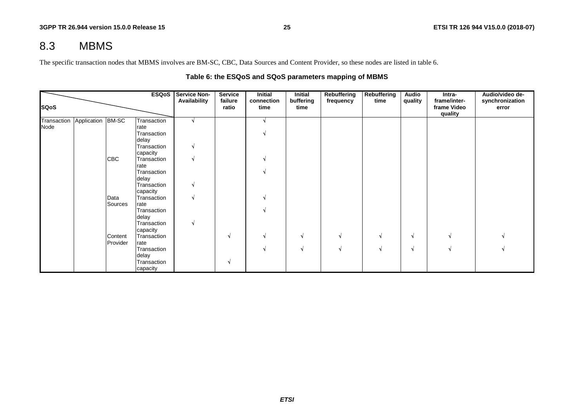## 8.3 MBMS

The specific transaction nodes that MBMS involves are BM-SC, CBC, Data Sources and Content Provider, so these nodes are listed in table 6.

### **Table 6: the ESQoS and SQoS parameters mapping of MBMS**

| <b>SQoS</b>                   |            | <b>ESQoS</b>         | <b>Service Non-</b><br>Availability | <b>Service</b><br>failure<br>ratio | <b>Initial</b><br>connection<br>time | <b>Initial</b><br>buffering<br>time | Rebuffering<br>frequency | <b>Rebuffering</b><br>time | Audio<br>quality | Intra-<br>frame/inter-<br>frame Video | Audio/video de-<br>synchronization<br>error |
|-------------------------------|------------|----------------------|-------------------------------------|------------------------------------|--------------------------------------|-------------------------------------|--------------------------|----------------------------|------------------|---------------------------------------|---------------------------------------------|
|                               |            |                      |                                     |                                    |                                      |                                     |                          |                            |                  | quality                               |                                             |
| Transaction Application BM-SC |            | Transaction          |                                     |                                    |                                      |                                     |                          |                            |                  |                                       |                                             |
| Node                          |            | rate                 |                                     |                                    |                                      |                                     |                          |                            |                  |                                       |                                             |
|                               |            | Transaction          |                                     |                                    |                                      |                                     |                          |                            |                  |                                       |                                             |
|                               |            | delay                |                                     |                                    |                                      |                                     |                          |                            |                  |                                       |                                             |
|                               |            | Transaction          | N.                                  |                                    |                                      |                                     |                          |                            |                  |                                       |                                             |
|                               |            | capacity             |                                     |                                    |                                      |                                     |                          |                            |                  |                                       |                                             |
|                               | <b>CBC</b> | Transaction          | V                                   |                                    |                                      |                                     |                          |                            |                  |                                       |                                             |
|                               |            | rate                 |                                     |                                    |                                      |                                     |                          |                            |                  |                                       |                                             |
|                               |            | Transaction          |                                     |                                    |                                      |                                     |                          |                            |                  |                                       |                                             |
|                               |            | delay                |                                     |                                    |                                      |                                     |                          |                            |                  |                                       |                                             |
|                               |            | Transaction          | V                                   |                                    |                                      |                                     |                          |                            |                  |                                       |                                             |
|                               |            | capacity             |                                     |                                    |                                      |                                     |                          |                            |                  |                                       |                                             |
|                               | Data       | Transaction          | V                                   |                                    |                                      |                                     |                          |                            |                  |                                       |                                             |
|                               | Sources    | rate                 |                                     |                                    |                                      |                                     |                          |                            |                  |                                       |                                             |
|                               |            | Transaction          |                                     |                                    |                                      |                                     |                          |                            |                  |                                       |                                             |
|                               |            | delay<br>Transaction | <b>V</b>                            |                                    |                                      |                                     |                          |                            |                  |                                       |                                             |
|                               |            | capacity             |                                     |                                    |                                      |                                     |                          |                            |                  |                                       |                                             |
|                               | Content    | Transaction          |                                     | N                                  |                                      |                                     |                          | N                          | N                |                                       |                                             |
|                               | Provider   | rate                 |                                     |                                    |                                      |                                     |                          |                            |                  |                                       |                                             |
|                               |            | Transaction          |                                     |                                    |                                      |                                     |                          |                            | N                |                                       |                                             |
|                               |            | delay                |                                     |                                    |                                      |                                     |                          |                            |                  |                                       |                                             |
|                               |            | Transaction          |                                     | N                                  |                                      |                                     |                          |                            |                  |                                       |                                             |
|                               |            | capacity             |                                     |                                    |                                      |                                     |                          |                            |                  |                                       |                                             |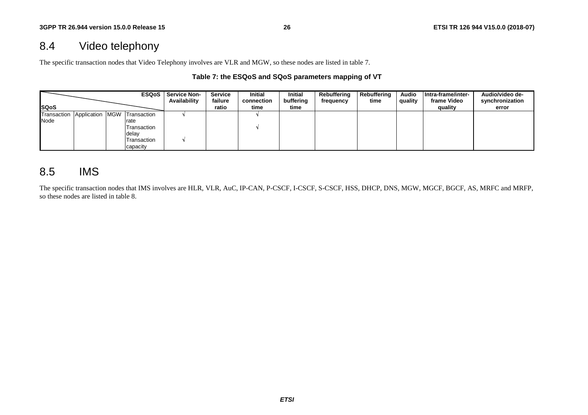# 8.4 Video telephony

The specific transaction nodes that Video Telephony involves are VLR and MGW, so these nodes are listed in table 7.

### **Table 7: the ESQoS and SQoS parameters mapping of VT**

|              |                 | <b>ESQoS</b> | <b>Service Non-</b><br>Availability | <b>Service</b><br>failure | <b>Initial</b><br>connection | <b>Initial</b><br>buffering | Rebuffering<br>frequency | Rebuffering<br>time | <b>Audio</b><br>quality | Intra-frame/inter-<br>frame Video | Audio/video de-<br>synchronization |
|--------------|-----------------|--------------|-------------------------------------|---------------------------|------------------------------|-----------------------------|--------------------------|---------------------|-------------------------|-----------------------------------|------------------------------------|
| <b>ISQoS</b> |                 |              |                                     | ratio                     | time                         | time                        |                          |                     |                         | quality                           | error                              |
| Transaction  | Application MGW | Transaction  |                                     |                           |                              |                             |                          |                     |                         |                                   |                                    |
| Node         |                 | rate         |                                     |                           |                              |                             |                          |                     |                         |                                   |                                    |
|              |                 | Transaction  |                                     |                           |                              |                             |                          |                     |                         |                                   |                                    |
|              |                 | delay        |                                     |                           |                              |                             |                          |                     |                         |                                   |                                    |
|              |                 | Transaction  |                                     |                           |                              |                             |                          |                     |                         |                                   |                                    |
|              |                 | capacity     |                                     |                           |                              |                             |                          |                     |                         |                                   |                                    |

## 8.5 IMS

The specific transaction nodes that IMS involves are HLR, VLR, AuC, IP-CAN, P-CSCF, I-CSCF, S-CSCF, HSS, DHCP, DNS, MGW, MGCF, BGCF, AS, MRFC and MRFP, so these nodes are listed in table 8.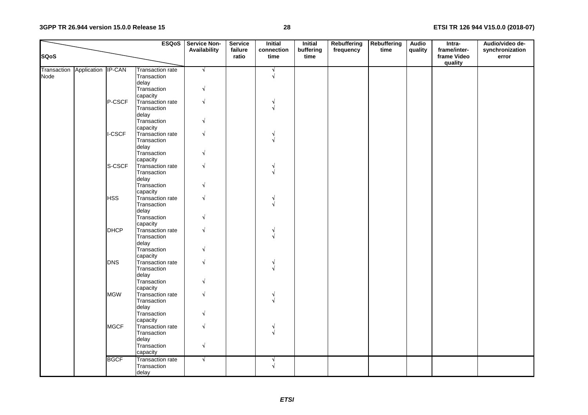### **3GPP TR 26.944 version 15.0.0 Release 15**

### **28 ETSI TR 126 944 V15.0.0 (2018-07)**

|             |                                |               | <b>ESQoS</b>            | <b>Service Non-</b><br>Availability | <b>Service</b><br>failure | <b>Initial</b><br>connection | <b>Initial</b><br>buffering | Rebuffering<br>frequency | <b>Rebuffering</b><br>time | <b>Audio</b><br>quality | Intra-<br>frame/inter- | Audio/video de-<br>synchronization |
|-------------|--------------------------------|---------------|-------------------------|-------------------------------------|---------------------------|------------------------------|-----------------------------|--------------------------|----------------------------|-------------------------|------------------------|------------------------------------|
| <b>SQoS</b> |                                |               |                         |                                     | ratio                     | time                         | time                        |                          |                            |                         | frame Video<br>quality | error                              |
|             | Transaction Application IP-CAN |               | <b>Transaction rate</b> | $\sqrt{ }$                          |                           | N                            |                             |                          |                            |                         |                        |                                    |
| Node        |                                |               | Transaction             |                                     |                           | $\sqrt{ }$                   |                             |                          |                            |                         |                        |                                    |
|             |                                |               | delay                   |                                     |                           |                              |                             |                          |                            |                         |                        |                                    |
|             |                                |               | Transaction             | $\sqrt{}$                           |                           |                              |                             |                          |                            |                         |                        |                                    |
|             |                                |               | capacity                |                                     |                           |                              |                             |                          |                            |                         |                        |                                    |
|             |                                | P-CSCF        | Transaction rate        |                                     |                           |                              |                             |                          |                            |                         |                        |                                    |
|             |                                |               | Transaction             |                                     |                           |                              |                             |                          |                            |                         |                        |                                    |
|             |                                |               | delay                   |                                     |                           |                              |                             |                          |                            |                         |                        |                                    |
|             |                                |               | Transaction             |                                     |                           |                              |                             |                          |                            |                         |                        |                                    |
|             |                                |               | capacity                |                                     |                           |                              |                             |                          |                            |                         |                        |                                    |
|             |                                | <b>I-CSCF</b> | <b>Transaction rate</b> |                                     |                           |                              |                             |                          |                            |                         |                        |                                    |
|             |                                |               | Transaction             |                                     |                           |                              |                             |                          |                            |                         |                        |                                    |
|             |                                |               | delay                   |                                     |                           |                              |                             |                          |                            |                         |                        |                                    |
|             |                                |               | Transaction             |                                     |                           |                              |                             |                          |                            |                         |                        |                                    |
|             |                                |               | capacity                |                                     |                           |                              |                             |                          |                            |                         |                        |                                    |
|             |                                | S-CSCF        | Transaction rate        |                                     |                           |                              |                             |                          |                            |                         |                        |                                    |
|             |                                |               | Transaction             |                                     |                           |                              |                             |                          |                            |                         |                        |                                    |
|             |                                |               | delay                   |                                     |                           |                              |                             |                          |                            |                         |                        |                                    |
|             |                                |               | Transaction             |                                     |                           |                              |                             |                          |                            |                         |                        |                                    |
|             |                                |               | capacity                |                                     |                           |                              |                             |                          |                            |                         |                        |                                    |
|             |                                | <b>HSS</b>    | Transaction rate        |                                     |                           |                              |                             |                          |                            |                         |                        |                                    |
|             |                                |               | Transaction             |                                     |                           |                              |                             |                          |                            |                         |                        |                                    |
|             |                                |               | delay                   |                                     |                           |                              |                             |                          |                            |                         |                        |                                    |
|             |                                |               | Transaction             |                                     |                           |                              |                             |                          |                            |                         |                        |                                    |
|             |                                |               | capacity                |                                     |                           |                              |                             |                          |                            |                         |                        |                                    |
|             |                                | <b>DHCP</b>   | Transaction rate        |                                     |                           |                              |                             |                          |                            |                         |                        |                                    |
|             |                                |               | Transaction             |                                     |                           |                              |                             |                          |                            |                         |                        |                                    |
|             |                                |               | delay                   |                                     |                           |                              |                             |                          |                            |                         |                        |                                    |
|             |                                |               | Transaction             |                                     |                           |                              |                             |                          |                            |                         |                        |                                    |
|             |                                |               | capacity                |                                     |                           |                              |                             |                          |                            |                         |                        |                                    |
|             |                                | <b>DNS</b>    | Transaction rate        |                                     |                           |                              |                             |                          |                            |                         |                        |                                    |
|             |                                |               | Transaction             |                                     |                           |                              |                             |                          |                            |                         |                        |                                    |
|             |                                |               | delay                   |                                     |                           |                              |                             |                          |                            |                         |                        |                                    |
|             |                                |               | Transaction             |                                     |                           |                              |                             |                          |                            |                         |                        |                                    |
|             |                                |               | capacity                |                                     |                           |                              |                             |                          |                            |                         |                        |                                    |
|             |                                | <b>MGW</b>    | Transaction rate        |                                     |                           |                              |                             |                          |                            |                         |                        |                                    |
|             |                                |               | Transaction             |                                     |                           |                              |                             |                          |                            |                         |                        |                                    |
|             |                                |               |                         |                                     |                           |                              |                             |                          |                            |                         |                        |                                    |
|             |                                |               | delay<br>Transaction    |                                     |                           |                              |                             |                          |                            |                         |                        |                                    |
|             |                                |               |                         |                                     |                           |                              |                             |                          |                            |                         |                        |                                    |
|             |                                | <b>MGCF</b>   | capacity                |                                     |                           |                              |                             |                          |                            |                         |                        |                                    |
|             |                                |               | Transaction rate        |                                     |                           | N                            |                             |                          |                            |                         |                        |                                    |
|             |                                |               | Transaction             |                                     |                           |                              |                             |                          |                            |                         |                        |                                    |
|             |                                |               | delay                   |                                     |                           |                              |                             |                          |                            |                         |                        |                                    |
|             |                                |               | Transaction             | √                                   |                           |                              |                             |                          |                            |                         |                        |                                    |
|             |                                |               | capacity                |                                     |                           |                              |                             |                          |                            |                         |                        |                                    |
|             |                                | <b>BGCF</b>   | <b>Transaction rate</b> | $\sqrt{ }$                          |                           |                              |                             |                          |                            |                         |                        |                                    |
|             |                                |               | Transaction             |                                     |                           |                              |                             |                          |                            |                         |                        |                                    |
|             |                                |               | delay                   |                                     |                           |                              |                             |                          |                            |                         |                        |                                    |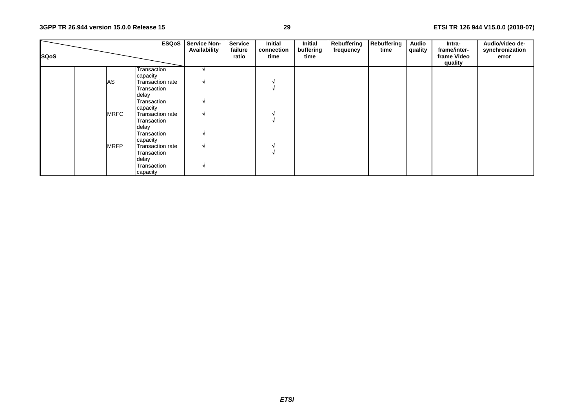| <b>SQoS</b> |             | <b>ESQoS</b>                 | <b>Service Non-</b><br>Availability | <b>Service</b><br>failure<br>ratio | Initial<br>connection<br>time | <b>Initial</b><br>buffering<br>time | Rebuffering<br>frequency | Rebuffering<br>time | <b>Audio</b><br>quality | Intra-<br>frame/inter-<br>frame Video<br>quality | Audio/video de-<br>synchronization<br>error |
|-------------|-------------|------------------------------|-------------------------------------|------------------------------------|-------------------------------|-------------------------------------|--------------------------|---------------------|-------------------------|--------------------------------------------------|---------------------------------------------|
|             |             | Transaction                  |                                     |                                    |                               |                                     |                          |                     |                         |                                                  |                                             |
|             |             | capacity                     |                                     |                                    |                               |                                     |                          |                     |                         |                                                  |                                             |
|             | AS          | Transaction rate             |                                     |                                    |                               |                                     |                          |                     |                         |                                                  |                                             |
|             |             | Transaction                  |                                     |                                    |                               |                                     |                          |                     |                         |                                                  |                                             |
|             |             | delay<br>Transaction         |                                     |                                    |                               |                                     |                          |                     |                         |                                                  |                                             |
|             |             |                              |                                     |                                    |                               |                                     |                          |                     |                         |                                                  |                                             |
|             | <b>MRFC</b> | capacity<br>Transaction rate |                                     |                                    |                               |                                     |                          |                     |                         |                                                  |                                             |
|             |             | Transaction                  |                                     |                                    |                               |                                     |                          |                     |                         |                                                  |                                             |
|             |             | delay                        |                                     |                                    |                               |                                     |                          |                     |                         |                                                  |                                             |
|             |             | Transaction                  |                                     |                                    |                               |                                     |                          |                     |                         |                                                  |                                             |
|             |             | capacity                     |                                     |                                    |                               |                                     |                          |                     |                         |                                                  |                                             |
|             | <b>MRFP</b> | Transaction rate             |                                     |                                    |                               |                                     |                          |                     |                         |                                                  |                                             |
|             |             | Transaction                  |                                     |                                    |                               |                                     |                          |                     |                         |                                                  |                                             |
|             |             | delay                        |                                     |                                    |                               |                                     |                          |                     |                         |                                                  |                                             |
|             |             | Transaction                  |                                     |                                    |                               |                                     |                          |                     |                         |                                                  |                                             |
|             |             | capacity                     |                                     |                                    |                               |                                     |                          |                     |                         |                                                  |                                             |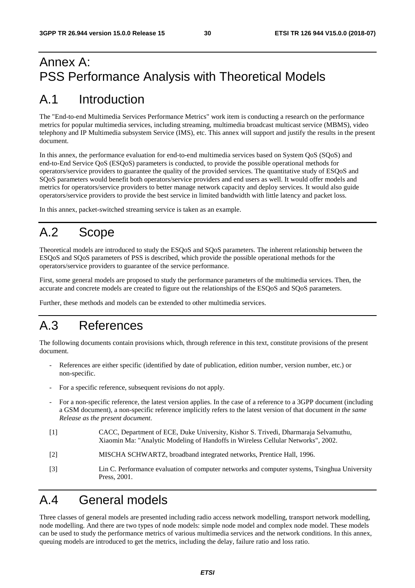# Annex A: PSS Performance Analysis with Theoretical Models

# A.1 Introduction

The "End-to-end Multimedia Services Performance Metrics" work item is conducting a research on the performance metrics for popular multimedia services, including streaming, multimedia broadcast multicast service (MBMS), video telephony and IP Multimedia subsystem Service (IMS), etc. This annex will support and justify the results in the present document.

In this annex, the performance evaluation for end-to-end multimedia services based on System QoS (SQoS) and end-to-End Service QoS (ESQoS) parameters is conducted, to provide the possible operational methods for operators/service providers to guarantee the quality of the provided services. The quantitative study of ESQoS and SQoS parameters would benefit both operators/service providers and end users as well. It would offer models and metrics for operators/service providers to better manage network capacity and deploy services. It would also guide operators/service providers to provide the best service in limited bandwidth with little latency and packet loss.

In this annex, packet-switched streaming service is taken as an example.

# A.2 Scope

Theoretical models are introduced to study the ESQoS and SQoS parameters. The inherent relationship between the ESQoS and SQoS parameters of PSS is described, which provide the possible operational methods for the operators/service providers to guarantee of the service performance.

First, some general models are proposed to study the performance parameters of the multimedia services. Then, the accurate and concrete models are created to figure out the relationships of the ESQoS and SQoS parameters.

Further, these methods and models can be extended to other multimedia services.

# A.3 References

The following documents contain provisions which, through reference in this text, constitute provisions of the present document.

- References are either specific (identified by date of publication, edition number, version number, etc.) or non-specific.
- For a specific reference, subsequent revisions do not apply.
- For a non-specific reference, the latest version applies. In the case of a reference to a 3GPP document (including a GSM document), a non-specific reference implicitly refers to the latest version of that document *in the same Release as the present document*.
- [1] CACC, Department of ECE, Duke University, Kishor S. Trivedi, Dharmaraja Selvamuthu, Xiaomin Ma: "Analytic Modeling of Handoffs in Wireless Cellular Networks", 2002.
- [2] MISCHA SCHWARTZ, broadband integrated networks, Prentice Hall, 1996.
- [3] Lin C. Performance evaluation of computer networks and computer systems, Tsinghua University Press, 2001.

# A.4 General models

Three classes of general models are presented including radio access network modelling, transport network modelling, node modelling. And there are two types of node models: simple node model and complex node model. These models can be used to study the performance metrics of various multimedia services and the network conditions. In this annex, queuing models are introduced to get the metrics, including the delay, failure ratio and loss ratio.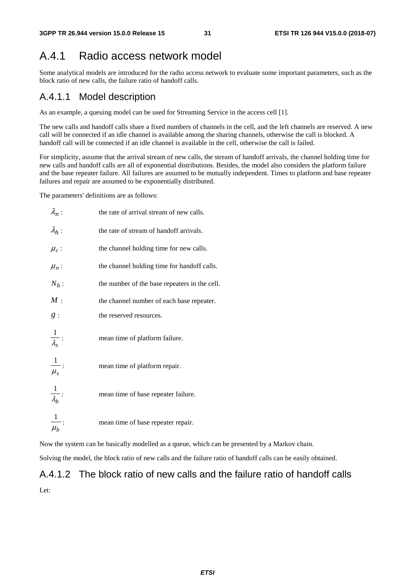## A.4.1 Radio access network model

Some analytical models are introduced for the radio access network to evaluate some important parameters, such as the block ratio of new calls, the failure ratio of handoff calls.

### A.4.1.1 Model description

As an example, a queuing model can be used for Streaming Service in the access cell [1].

The new calls and handoff calls share a fixed numbers of channels in the cell, and the left channels are reserved. A new call will be connected if an idle channel is available among the sharing channels, otherwise the call is blocked. A handoff call will be connected if an idle channel is available in the cell, otherwise the call is failed.

For simplicity, assume that the arrival stream of new calls, the stream of handoff arrivals, the channel holding time for new calls and handoff calls are all of exponential distributions. Besides, the model also considers the platform failure and the base repeater failure. All failures are assumed to be mutually independent. Times to platform and base repeater failures and repair are assumed to be exponentially distributed.

The parameters' definitions are as follows:

| $\lambda_n$ :           | the rate of arrival stream of new calls.      |
|-------------------------|-----------------------------------------------|
| $\lambda_h$ :           | the rate of stream of handoff arrivals.       |
| $\mu_c$ :               | the channel holding time for new calls.       |
| $\mu_n$ :               | the channel holding time for handoff calls.   |
| $N_b$ :                 | the number of the base repeaters in the cell. |
| M:                      | the channel number of each base repeater.     |
| g:                      | the reserved resources.                       |
| $\frac{1}{\lambda_s}$ : | mean time of platform failure.                |
| $\frac{1}{\mu_s}$ :     | mean time of platform repair.                 |
| $\frac{1}{\lambda_b}$ : | mean time of base repeater failure.           |
| $\frac{1}{\mu_b}$ :     | mean time of base repeater repair.            |

Now the system can be basically modelled as a queue, which can be presented by a Markov chain.

Solving the model, the block ratio of new calls and the failure ratio of handoff calls can be easily obtained.

# A.4.1.2 The block ratio of new calls and the failure ratio of handoff calls Let: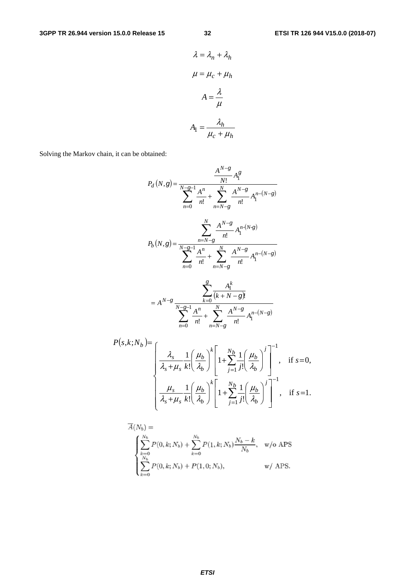$$
\lambda = \lambda_n + \lambda_h
$$

$$
\mu = \mu_c + \mu_h
$$

$$
A = \frac{\lambda}{\mu}
$$

$$
A_1 = \frac{\lambda_h}{\mu_c + \mu_h}
$$

Solving the Markov chain, it can be obtained:

$$
P_d(N,g) = \frac{\frac{A^{N-g}}{N!} A_1^g}{\sum_{n=0}^{N-g-1} \frac{A^n}{n!} + \sum_{n=N-g}^{N} \frac{A^{N-g}}{n!} A_1^{n-(N-g)}}
$$
  

$$
P_b(N,g) = \frac{\sum_{n=N-g}^{N} \frac{A^{N-g}}{n!} A_1^{n-(N-g)}}{\sum_{n=0}^{N-g-1} \frac{A^n}{n!} + \sum_{n=N-g}^{N} \frac{A^{N-g}}{n!} A_1^{n-(N-g)}}
$$
  

$$
= A^{N-g} \frac{\sum_{k=0}^{g} \frac{A_1^k}{(k+N-g)!}}{\sum_{n=0}^{N-g-1} \frac{A^n}{n!} + \sum_{n=0}^{N} \frac{A^{N-g}}{n!} A_1^{n-(N-g)}}
$$

$$
P(s,k;N_b) = \begin{cases} \frac{\lambda_s}{\lambda_s + \mu_s} \frac{1}{k!} \left( \frac{\mu_b}{\lambda_b} \right)^k \left[ 1 + \sum_{j=1}^{N_b} \frac{1}{j!} \left( \frac{\mu_b}{\lambda_b} \right)^j \right]^{-1}, & \text{if } s = 0, \\ \frac{\mu_s}{\lambda_s + \mu_s} \frac{1}{k!} \left( \frac{\mu_b}{\lambda_b} \right)^k \left[ 1 + \sum_{j=1}^{N_b} \frac{1}{j!} \left( \frac{\mu_b}{\lambda_b} \right)^j \right]^{-1}, & \text{if } s = 1. \end{cases}
$$

 $\sum_{n=N-g}^{N} \frac{A_1}{n!} A_1$ 

 $= 0$   $n=N-$ 

 $n=0$   $n=N$ 

*n*

0

$$
\overline{A}(N_b) = \left\{ \sum_{k=0}^{N_b} P(0, k; N_b) + \sum_{k=0}^{N_b} P(1, k; N_b) \frac{N_b - k}{N_b}, \text{ w/o APS} \right\}
$$
\n
$$
\sum_{k=0}^{N_b} P(0, k; N_b) + P(1, 0; N_b), \text{ w/ APS.}
$$

*ETSI*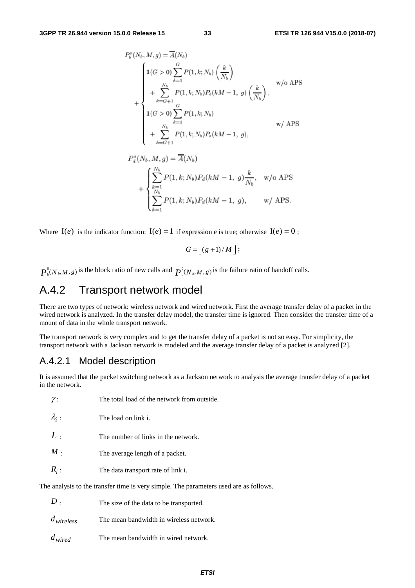$$
P_b^o(N_b, M, g) = \overline{A}(N_b)
$$
  
\n
$$
1(G > 0) \sum_{k=1}^{G} P(1, k; N_b) \left(\frac{k}{N_b}\right)
$$
  
\n
$$
+ \sum_{k=G+1}^{N_b} P(1, k; N_b) P_b(kM - 1, g) \left(\frac{k}{N_b}\right),
$$
  
\n
$$
1(G > 0) \sum_{k=1}^{G} P(1, k; N_b)
$$
  
\n
$$
+ \sum_{k=G+1}^{N_b} P(1, k; N_b) P_b(kM - 1, g),
$$
  
\n
$$
w / APS
$$

$$
P_d^o(N_b, M, g) = \overline{A}(N_b)
$$
  
+ 
$$
\begin{cases} \sum_{k=1}^{N_b} P(1, k; N_b) P_d(kM - 1, g) \frac{k}{N_b}, & \text{w/o APS} \\ \sum_{k=1}^{N_b} P(1, k; N_b) P_d(kM - 1, g), & \text{w/ APS.} \end{cases}
$$

Where  $I(e)$  is the indicator function:  $I(e) = 1$  if expression e is true; otherwise  $I(e) = 0$ ;

$$
G = \lfloor (g+1)/M \rfloor;
$$

 $\mathbf{0}$  $P_{\text{b}}^{0}(N_{\text{b}}, M, g)$  is the block ratio of new calls and  $P_{\text{d}}^{0}(N_{\text{b}}, M, g)$  is the failure ratio of handoff calls.

# A.4.2 Transport network model

There are two types of network: wireless network and wired network. First the average transfer delay of a packet in the wired network is analyzed. In the transfer delay model, the transfer time is ignored. Then consider the transfer time of a mount of data in the whole transport network.

The transport network is very complex and to get the transfer delay of a packet is not so easy. For simplicity, the transport network with a Jackson network is modeled and the average transfer delay of a packet is analyzed [2].

### A.4.2.1 Model description

It is assumed that the packet switching network as a Jackson network to analysis the average transfer delay of a packet in the network.

| $\gamma$ :    | The total load of the network from outside.                                           |
|---------------|---------------------------------------------------------------------------------------|
| $\lambda_i$ : | The load on link i.                                                                   |
| L:            | The number of links in the network.                                                   |
| $M_{\odot}$   | The average length of a packet.                                                       |
| $R_i$ :       | The data transport rate of link i.                                                    |
|               | The analysis to the transfer time is very simple. The parameters used are as follows. |
|               |                                                                                       |

| $D$ .          | The size of the data to be transported. |
|----------------|-----------------------------------------|
| $d_{wireless}$ | The mean bandwidth in wireless network. |
| $d_{wired}$    | The mean bandwidth in wired network.    |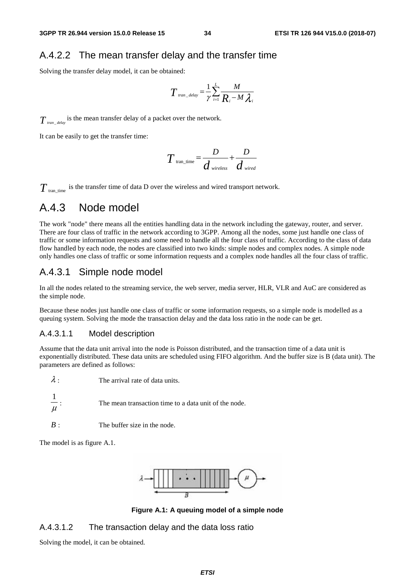### A.4.2.2 The mean transfer delay and the transfer time

Solving the transfer delay model, it can be obtained:

$$
T_{\text{tran\_delay}} = \frac{1}{\gamma} \sum_{i=1}^{L} \frac{M}{R_i - M \lambda_i}
$$

 $T_{\text{tran\_delay}}$  is the mean transfer delay of a packet over the network.

It can be easily to get the transfer time:

$$
T_{\text{tran\_time}} = \frac{D}{d_{\text{wireless}}} + \frac{D}{d_{\text{wired}}}
$$

 $T_{\text{tran time}}$  is the transfer time of data D over the wireless and wired transport network.

## A.4.3 Node model

The work "node" there means all the entities handling data in the network including the gateway, router, and server. There are four class of traffic in the network according to 3GPP. Among all the nodes, some just handle one class of traffic or some information requests and some need to handle all the four class of traffic. According to the class of data flow handled by each node, the nodes are classified into two kinds: simple nodes and complex nodes. A simple node only handles one class of traffic or some information requests and a complex node handles all the four class of traffic.

### A.4.3.1 Simple node model

In all the nodes related to the streaming service, the web server, media server, HLR, VLR and AuC are considered as the simple node.

Because these nodes just handle one class of traffic or some information requests, so a simple node is modelled as a queuing system. Solving the mode the transaction delay and the data loss ratio in the node can be get.

### A.4.3.1.1 Model description

Assume that the data unit arrival into the node is Poisson distributed, and the transaction time of a data unit is exponentially distributed. These data units are scheduled using FIFO algorithm. And the buffer size is B (data unit). The parameters are defined as follows:

- $\lambda$  : The arrival rate of data units.
- μ 1 The mean transaction time to a data unit of the node.
- *B* : The buffer size in the node.

The model is as figure A.1.



**Figure A.1: A queuing model of a simple node** 

A.4.3.1.2 The transaction delay and the data loss ratio

Solving the model, it can be obtained.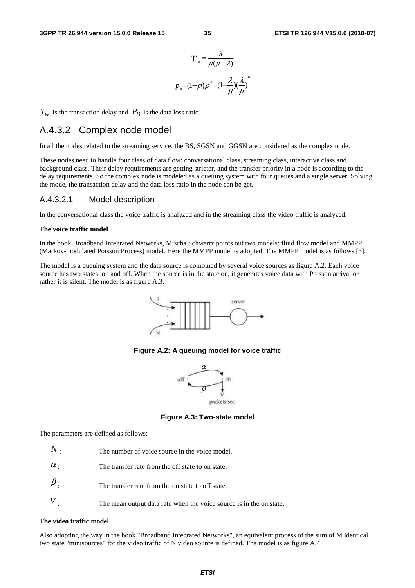$$
T_{w} = \frac{\lambda}{\mu(\mu - \lambda)}
$$

$$
p_{n} = (1 - \rho)\rho^{n} = (1 - \frac{\lambda}{\mu})(\frac{\lambda}{\mu})^{n}
$$

 $T_w$  is the transaction delay and  $P_B$  is the data loss ratio.

### A.4.3.2 Complex node model

In all the nodes related to the streaming service, the BS, SGSN and GGSN are considered as the complex node.

These nodes need to handle four class of data flow: conversational class, streaming class, interactive class and background class. Their delay requirements are getting stricter, and the transfer priority in a node is according to the delay requirements. So the complex node is modeled as a queuing system with four queues and a single server. Solving the mode, the transaction delay and the data loss ratio in the node can be get.

### A.4.3.2.1 Model description

In the conversational class the voice traffic is analyzed and in the streaming class the video traffic is analyzed.

#### **The voice traffic model**

In the book Broadband Integrated Networks, Mischa Schwartz points out two models: fluid flow model and MMPP (Markov-modulated Poisson Process) model. Here the MMPP model is adopted. The MMPP model is as follows [3].

The model is a queuing system and the data source is combined by several voice sources as figure A.2. Each voice source has two states: on and off. When the source is in the state on, it generates voice data with Poisson arrival or rather it is silent. The model is as figure A.3.



#### **Figure A.2: A queuing model for voice traffic**



**Figure A.3: Two-state model** 

The parameters are defined as follows:

- The transfer rate from the off state to on state.  $\alpha$ .
- The transfer rate from the on state to off state.  $\beta$ .
- The mean output data rate when the voice source is in the on state. *V*

#### **The video traffic model**

Also adopting the way in the book "Broadband Integrated Networks", an equivalent process of the sum of M identical two state "minisources" for the video traffic of N video source is defined. The model is as figure A.4.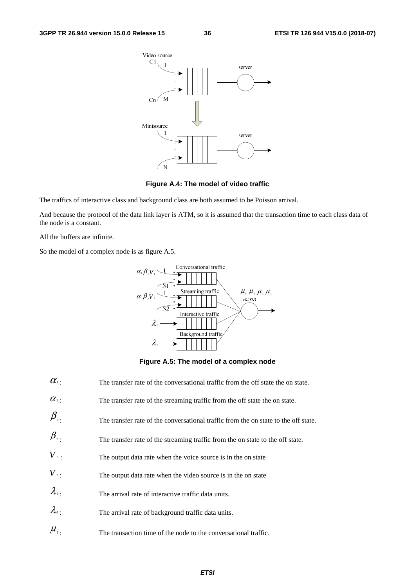

### **Figure A.4: The model of video traffic**

The traffics of interactive class and background class are both assumed to be Poisson arrival.

And because the protocol of the data link layer is ATM, so it is assumed that the transaction time to each class data of the node is a constant.

All the buffers are infinite.

So the model of a complex node is as figure A.5.



**Figure A.5: The model of a complex node** 

 $\alpha_1$ : The transfer rate of the conversational traffic from the off state the on state.  $\alpha$ <sup>2</sup>: The transfer rate of the streaming traffic from the off state the on state.  $\beta$ <sub>1</sub> The transfer rate of the conversational traffic from the on state to the off state.  $\beta$ <sub>2</sub>: The transfer rate of the streaming traffic from the on state to the off state.  $V_{\perp}$ : The output data rate when the voice source is in the on state  $V<sub>2</sub>$ : The output data rate when the video source is in the on state  $\lambda$ <sub>3</sub> : The arrival rate of interactive traffic data units.  $\lambda_4$ : The arrival rate of background traffic data units.  $\mu_{1}$ : The transaction time of the node to the conversational traffic.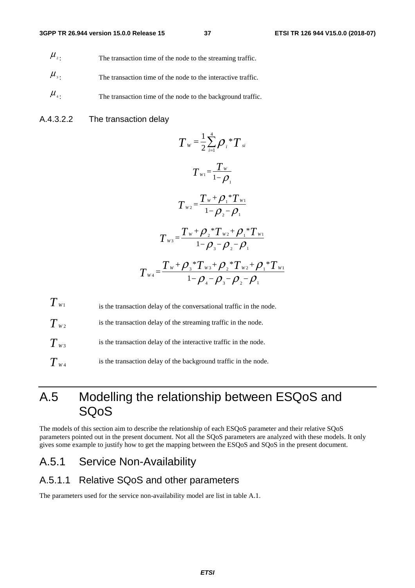- $\mu_{2}$  The transaction time of the node to the streaming traffic.
- $\mu_{\text{3}}$  The transaction time of the node to the interactive traffic.
- $\mu_{\text{4}}$ : The transaction time of the node to the background traffic.
- A.4.3.2.2 The transaction delay

$$
T_{w} = \frac{1}{2} \sum_{i=1}^{4} \rho_{i} {}^{*}T_{si}
$$
\n
$$
T_{w1} = \frac{T_{w}}{1 - \rho_{1}}
$$
\n
$$
T_{w2} = \frac{T_{w} + \rho_{1} {}^{*}T_{w1}}{1 - \rho_{2} - \rho_{1}}
$$
\n
$$
T_{w3} = \frac{T_{w} + \rho_{2} {}^{*}T_{w2} + \rho_{1} {}^{*}T_{w1}}{1 - \rho_{3} - \rho_{2} - \rho_{1}}
$$
\n
$$
T_{w4} = \frac{T_{w} + \rho_{3} {}^{*}T_{w3} + \rho_{2} {}^{*}T_{w2} + \rho_{1} {}^{*}T_{w1}}{1 - \rho_{4} - \rho_{3} - \rho_{2} - \rho_{1}}
$$

 $T_{w1}$  is the transaction delay of the conversational traffic in the node.

 $T_{w}$ , is the transaction delay of the streaming traffic in the node.

 $T_{w3}$  is the transaction delay of the interactive traffic in the node.

 $T_{\alpha_4}$  is the transaction delay of the background traffic in the node.

# A.5 Modelling the relationship between ESQoS and SQoS

The models of this section aim to describe the relationship of each ESQoS parameter and their relative SQoS parameters pointed out in the present document. Not all the SQoS parameters are analyzed with these models. It only gives some example to justify how to get the mapping between the ESQoS and SQoS in the present document.

## A.5.1 Service Non-Availability

### A.5.1.1 Relative SQoS and other parameters

The parameters used for the service non-availability model are list in table A.1.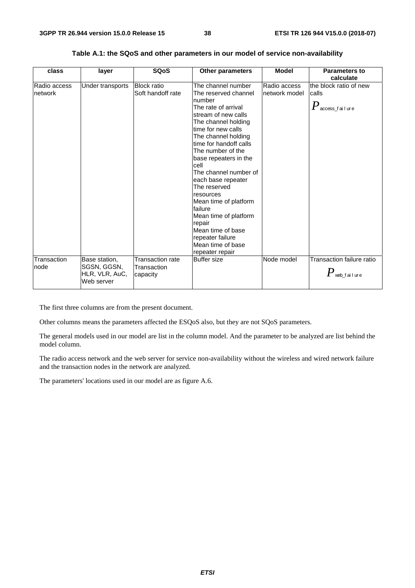$P_{\scriptscriptstyle{\text{web_fai1ure}}}$ 

| class                   | layer            | <b>SQoS</b>                             | <b>Other parameters</b>                                                                                                                                                                                                                                                                                                                                                                                                                                                  | <b>Model</b>                  | <b>Parameters to</b><br>calculate                                  |
|-------------------------|------------------|-----------------------------------------|--------------------------------------------------------------------------------------------------------------------------------------------------------------------------------------------------------------------------------------------------------------------------------------------------------------------------------------------------------------------------------------------------------------------------------------------------------------------------|-------------------------------|--------------------------------------------------------------------|
| Radio access<br>network | Under transports | <b>Block ratio</b><br>Soft handoff rate | The channel number<br>The reserved channel<br>number<br>The rate of arrival<br>stream of new calls<br>The channel holding<br>time for new calls<br>The channel holding<br>time for handoff calls<br>The number of the<br>base repeaters in the<br>cell<br>The channel number of<br>each base repeater<br>The reserved<br>resources<br>Mean time of platform<br>lfailure<br>Mean time of platform<br>repair<br>Mean time of base<br>repeater failure<br>Mean time of base | Radio access<br>network model | the block ratio of new<br>calls<br>$\boldsymbol{I}$ access failure |

| Table A.1: the SQoS and other parameters in our model of service non-availability |  |  |
|-----------------------------------------------------------------------------------|--|--|
|-----------------------------------------------------------------------------------|--|--|

The first three columns are from the present document.

Base station, SGSN, GGSN, HLR, VLR, AuC, Web server

**Transaction** node

Other columns means the parameters affected the ESQoS also, but they are not SQoS parameters.

**Transaction** capacity

The general models used in our model are list in the column model. And the parameter to be analyzed are list behind the model column.

repeater repair<br>Buffer size

Transaction rate Buffer size Node model Transaction failure ratio

The radio access network and the web server for service non-availability without the wireless and wired network failure and the transaction nodes in the network are analyzed.

The parameters' locations used in our model are as figure A.6.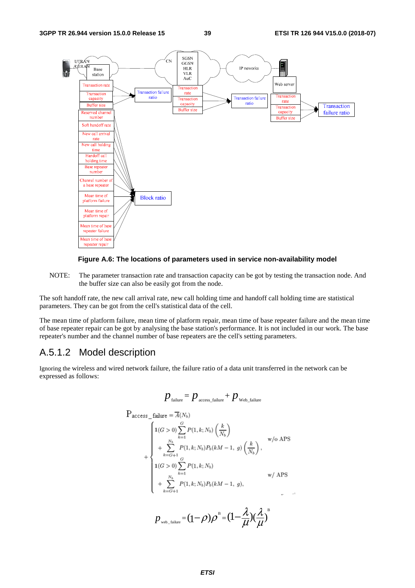



NOTE: The parameter transaction rate and transaction capacity can be got by testing the transaction node. And the buffer size can also be easily got from the node.

The soft handoff rate, the new call arrival rate, new call holding time and handoff call holding time are statistical parameters. They can be got from the cell's statistical data of the cell.

The mean time of platform failure, mean time of platform repair, mean time of base repeater failure and the mean time of base repeater repair can be got by analysing the base station's performance. It is not included in our work. The base repeater's number and the channel number of base repeaters are the cell's setting parameters.

### A.5.1.2 Model description

Ignoring the wireless and wired network failure, the failure ratio of a data unit transferred in the network can be expressed as follows:

$$
p_{\text{failure}} = p_{\text{access\_failure}} + p_{\text{Web\_failure}}
$$

$$
P_{access\_failure} = \overline{A}(N_b)
$$
\n
$$
+ \begin{cases}\n1(G > 0) \sum_{k=1}^{G} P(1, k; N_b) \left(\frac{k}{N_b}\right) & \text{w/o APS} \\
+ \sum_{k=G+1}^{N_b} P(1, k; N_b) P_b(kM - 1, g) \left(\frac{k}{N_b}\right), & \text{w/o APS} \\
1(G > 0) \sum_{k=1}^{G} P(1, k; N_b) & \text{w/APS} \\
+ \sum_{k=G+1}^{N_b} P(1, k; N_b) P_b(kM - 1, g), & \text{w/APS} \\
P_{web\_failure} = (1 - \rho) \rho^B = (1 - \frac{\lambda}{\mu}) (\frac{\lambda}{\mu})^B\n\end{cases}
$$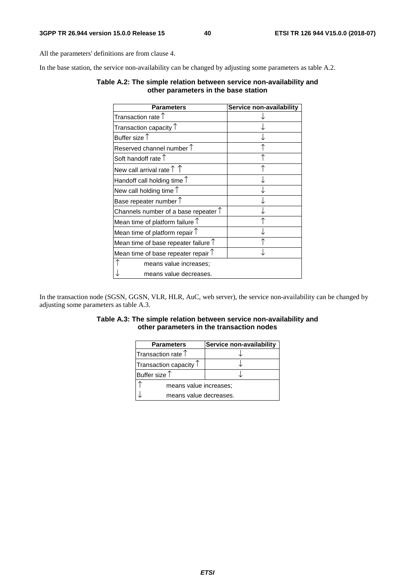All the parameters' definitions are from clause 4.

In the base station, the service non-availability can be changed by adjusting some parameters as table A.2.

| <b>Parameters</b>                             | Service non-availability |
|-----------------------------------------------|--------------------------|
| Transaction rate $\uparrow$                   |                          |
| Transaction capacity $\uparrow$               |                          |
| Buffer size $\uparrow$                        |                          |
| Reserved channel number $\uparrow$            |                          |
| Soft handoff rate 1                           |                          |
| New call arrival rate $\uparrow \uparrow$     |                          |
| Handoff call holding time $\uparrow$          |                          |
| New call holding time $\uparrow$              |                          |
| Base repeater number $\uparrow$               |                          |
| Channels number of a base repeater $\uparrow$ |                          |
| Mean time of platform failure $\uparrow$      |                          |
| Mean time of platform repair $\uparrow$       |                          |
| Mean time of base repeater failure $\uparrow$ |                          |
| Mean time of base repeater repair $\uparrow$  |                          |
| means value increases;                        |                          |
| means value decreases.                        |                          |

### **Table A.2: The simple relation between service non-availability and other parameters in the base station**

In the transaction node (SGSN, GGSN, VLR, HLR, AuC, web server), the service non-availability can be changed by adjusting some parameters as table A.3.

### **Table A.3: The simple relation between service non-availability and other parameters in the transaction nodes**

| <b>Parameters</b>               | Service non-availability |  |
|---------------------------------|--------------------------|--|
| Transaction rate T              |                          |  |
| Transaction capacity $\uparrow$ |                          |  |
| Buffer size $\uparrow$          |                          |  |
| means value increases;          |                          |  |
| means value decreases.          |                          |  |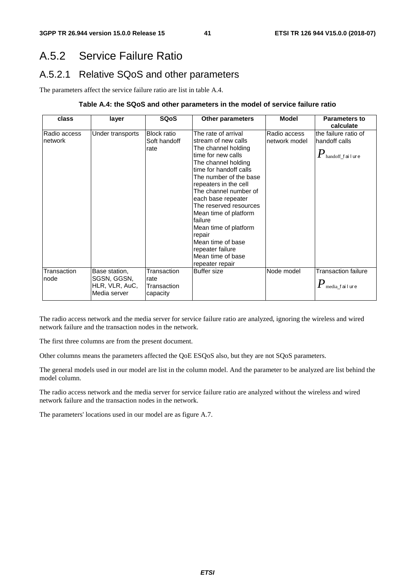# A.5.2 Service Failure Ratio

## A.5.2.1 Relative SQoS and other parameters

The parameters affect the service failure ratio are list in table A.4.

### **Table A.4: the SQoS and other parameters in the model of service failure ratio**

| class                   | layer                                                          | <b>SQoS</b>                                    | <b>Other parameters</b>                                                                                                                                                                                                                                                                                                                                                                                                      | <b>Model</b>                  | <b>Parameters to</b><br>calculate                                                    |
|-------------------------|----------------------------------------------------------------|------------------------------------------------|------------------------------------------------------------------------------------------------------------------------------------------------------------------------------------------------------------------------------------------------------------------------------------------------------------------------------------------------------------------------------------------------------------------------------|-------------------------------|--------------------------------------------------------------------------------------|
| Radio access<br>network | Under transports                                               | <b>Block ratio</b><br>Soft handoff<br>rate     | The rate of arrival<br>stream of new calls<br>The channel holding<br>time for new calls<br>The channel holding<br>time for handoff calls<br>The number of the base<br>repeaters in the cell<br>The channel number of<br>each base repeater<br>The reserved resources<br>Mean time of platform<br>failure<br>Mean time of platform<br>repair<br>Mean time of base<br>repeater failure<br>Mean time of base<br>repeater repair | Radio access<br>network model | the failure ratio of<br>handoff calls<br>$\boldsymbol{P}_{\text{handoff\_f}}$ ailure |
| Transaction<br>node     | Base station,<br>SGSN, GGSN,<br>HLR, VLR, AuC,<br>Media server | Transaction<br>rate<br>Transaction<br>capacity | Buffer size                                                                                                                                                                                                                                                                                                                                                                                                                  | Node model                    | <b>Transaction failure</b><br>$P_{\scriptscriptstyle \rm{median}$ failure            |

The radio access network and the media server for service failure ratio are analyzed, ignoring the wireless and wired network failure and the transaction nodes in the network.

The first three columns are from the present document.

Other columns means the parameters affected the QoE ESQoS also, but they are not SQoS parameters.

The general models used in our model are list in the column model. And the parameter to be analyzed are list behind the model column.

The radio access network and the media server for service failure ratio are analyzed without the wireless and wired network failure and the transaction nodes in the network.

The parameters' locations used in our model are as figure A.7.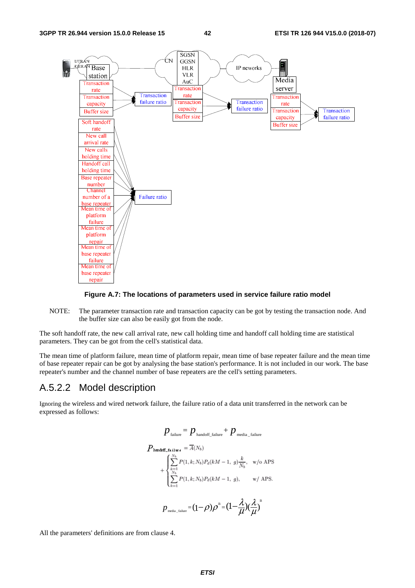

### **Figure A.7: The locations of parameters used in service failure ratio model**

NOTE: The parameter transaction rate and transaction capacity can be got by testing the transaction node. And the buffer size can also be easily got from the node.

The soft handoff rate, the new call arrival rate, new call holding time and handoff call holding time are statistical parameters. They can be got from the cell's statistical data.

The mean time of platform failure, mean time of platform repair, mean time of base repeater failure and the mean time of base repeater repair can be got by analysing the base station's performance. It is not included in our work. The base repeater's number and the channel number of base repeaters are the cell's setting parameters.

### A.5.2.2 Model description

Ignoring the wireless and wired network failure, the failure ratio of a data unit transferred in the network can be expressed as follows:

$$
p_{\text{failure}} = p_{\text{handoff\_failure}} + p_{\text{media\_failure}}
$$
  
\n
$$
P_{\text{handoff\_failure}} = \overline{A}(N_b)
$$
  
\n
$$
+ \begin{cases} \sum_{k=1}^{N_b} P(1, k; N_b) P_d(kM - 1, g) \frac{k}{N_b}, & \text{w/o APS} \\ \sum_{k=1}^{N_b} P(1, k; N_b) P_d(kM - 1, g), & \text{w/APS.} \end{cases}
$$
  
\n
$$
p_{\text{median\_failure}} = (1 - \rho) \rho^B = (1 - \frac{\lambda}{\mu}) (\frac{\lambda}{\mu})^B
$$

All the parameters' definitions are from clause 4.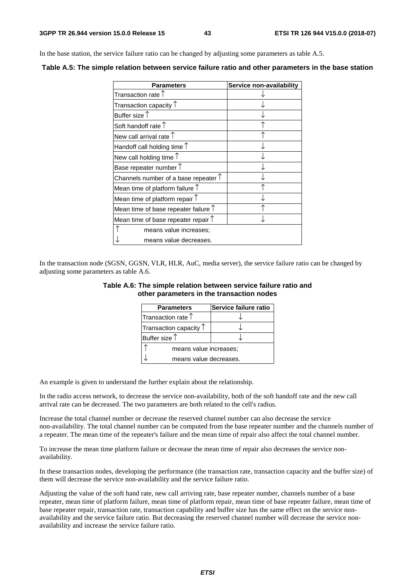In the base station, the service failure ratio can be changed by adjusting some parameters as table A.5.

**Table A.5: The simple relation between service failure ratio and other parameters in the base station** 

| <b>Parameters</b>                                    | Service non-availability |
|------------------------------------------------------|--------------------------|
| Transaction rate 1                                   |                          |
| Transaction capacity $\textcolor{black}{\mathsf{T}}$ |                          |
| Buffer size $\uparrow$                               |                          |
| Soft handoff rate $\uparrow$                         |                          |
| New call arrival rate $\uparrow$                     |                          |
| Handoff call holding time $\uparrow$                 |                          |
| New call holding time $\uparrow$                     |                          |
| Base repeater number $\uparrow$                      |                          |
| Channels number of a base repeater $\uparrow$        |                          |
| Mean time of platform failure $\uparrow$             |                          |
| Mean time of platform repair $\uparrow$              |                          |
| Mean time of base repeater failure $\uparrow$        |                          |
| Mean time of base repeater repair $\uparrow$         |                          |
| means value increases;                               |                          |
| means value decreases.                               |                          |

In the transaction node (SGSN, GGSN, VLR, HLR, AuC, media server), the service failure ratio can be changed by adjusting some parameters as table A.6.

### **Table A.6: The simple relation between service failure ratio and other parameters in the transaction nodes**

| <b>Parameters</b>               | Service failure ratio |  |
|---------------------------------|-----------------------|--|
| Transaction rate $\uparrow$     |                       |  |
| Transaction capacity $\uparrow$ |                       |  |
| Buffer size $\uparrow$          |                       |  |
| means value increases;          |                       |  |
| means value decreases.          |                       |  |

An example is given to understand the further explain about the relationship.

In the radio access network, to decrease the service non-availability, both of the soft handoff rate and the new call arrival rate can be decreased. The two parameters are both related to the cell's radius.

Increase the total channel number or decrease the reserved channel number can also decrease the service non-availability. The total channel number can be computed from the base repeater number and the channels number of a repeater. The mean time of the repeater's failure and the mean time of repair also affect the total channel number.

To increase the mean time platform failure or decrease the mean time of repair also decreases the service nonavailability.

In these transaction nodes, developing the performance (the transaction rate, transaction capacity and the buffer size) of them will decrease the service non-availability and the service failure ratio.

Adjusting the value of the soft hand rate, new call arriving rate, base repeater number, channels number of a base repeater, mean time of platform failure, mean time of platform repair, mean time of base repeater failure, mean time of base repeater repair, transaction rate, transaction capability and buffer size has the same effect on the service nonavailability and the service failure ratio. But decreasing the reserved channel number will decrease the service nonavailability and increase the service failure ratio.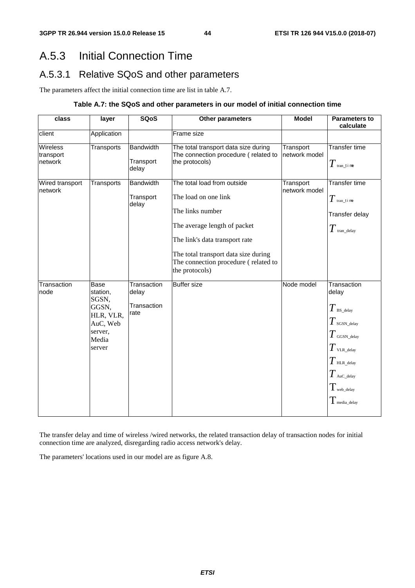# A.5.3 Initial Connection Time

## A.5.3.1 Relative SQoS and other parameters

The parameters affect the initial connection time are list in table A.7.

### **Table A.7: the SQoS and other parameters in our model of initial connection time**

| class                                   | layer                                                                                            | <b>SQoS</b>                                 | Other parameters                                                                                                                                                                                                                            | <b>Model</b>               | <b>Parameters to</b><br>calculate                                                                                                                                           |
|-----------------------------------------|--------------------------------------------------------------------------------------------------|---------------------------------------------|---------------------------------------------------------------------------------------------------------------------------------------------------------------------------------------------------------------------------------------------|----------------------------|-----------------------------------------------------------------------------------------------------------------------------------------------------------------------------|
| client                                  | Application                                                                                      |                                             | Frame size                                                                                                                                                                                                                                  |                            |                                                                                                                                                                             |
| <b>Wireless</b><br>transport<br>network | Transports                                                                                       | <b>Bandwidth</b><br>Transport<br>delay      | The total transport data size during<br>The connection procedure (related to<br>the protocols)                                                                                                                                              | Transport<br>network model | <b>Transfer time</b><br>$T$ tran_t i me                                                                                                                                     |
| Wired transport<br>network              | Transports                                                                                       | <b>Bandwidth</b><br>Transport<br>delay      | The total load from outside<br>The load on one link<br>The links number<br>The average length of packet<br>The link's data transport rate<br>The total transport data size during<br>The connection procedure (related to<br>the protocols) | Transport<br>network model | <b>Transfer time</b><br>$T$ tran_t i me<br>Transfer delay<br>$T$ tran_delay                                                                                                 |
| Transaction<br>node                     | <b>Base</b><br>station,<br>SGSN,<br>GGSN,<br>HLR, VLR,<br>AuC, Web<br>server,<br>Media<br>server | Transaction<br>delay<br>Transaction<br>rate | <b>Buffer size</b>                                                                                                                                                                                                                          | Node model                 | Transaction<br>delay<br>$T$ BS_delay<br>$T$ SGSN_delay<br>$T$ GGSN_delay<br>$T$ vlr._delay<br>$T$ HLR_delay<br>$T$ AuC_delay<br>$T_{\rm web\_delay}$<br>$\rm T$ media_delay |

The transfer delay and time of wireless /wired networks, the related transaction delay of transaction nodes for initial connection time are analyzed, disregarding radio access network's delay.

The parameters' locations used in our model are as figure A.8.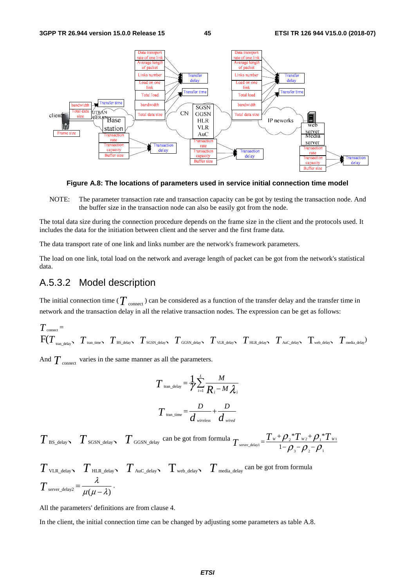

**Figure A.8: The locations of parameters used in service initial connection time model** 

NOTE: The parameter transaction rate and transaction capacity can be got by testing the transaction node. And the buffer size in the transaction node can also be easily got from the node.

The total data size during the connection procedure depends on the frame size in the client and the protocols used. It includes the data for the initiation between client and the server and the first frame data.

The data transport rate of one link and links number are the network's framework parameters.

The load on one link, total load on the network and average length of packet can be got from the network's statistical data.

### A.5.3.2 Model description

The initial connection time ( $T_{\text{connect}}$ ) can be considered as a function of the transfer delay and the transfer time in network and the transaction delay in all the relative transaction nodes. The expression can be get as follows:

$$
T_{\text{connect}} = \n\begin{bmatrix}\nT_{\text{connect}} & T_{\text{train\_time}} & T_{\text{BS\_delay}} & T_{\text{SGSN\_delay}} & T_{\text{GGSN\_delay}} & T_{\text{VLR\_delay}} & T_{\text{HL\_delay}} & T_{\text{Auc\_delay}} & T_{\text{web\_delay}} & T_{\text{median}}\n\end{bmatrix}
$$

And  $T_{\text{connect}}$  varies in the same manner as all the parameters.

$$
T_{\text{tran\_delay}} = \frac{1}{\gamma} \sum_{i=1}^{L} \frac{M}{R_i - M \lambda_i}
$$

$$
T_{\text{tran\_time}} = \frac{D}{d_{\text{wireless}}} + \frac{D}{d_{\text{wired}}}
$$

 $T$ <sub>BS\_delay  $T$ <sub>SGSN\_delay</sub>  $T$ <sub>GGSN\_delay</sub> can be got from formula  $T$ <sub>server\_delay1</sub> =  $\frac{T_w + \rho_z * T_{w_2} + \rho_1 * T_{w_1}}{1 - \rho_z + \rho_z}$ </sub> 3  ${\cal F}$  2  ${\cal F}$  1  $T_{w_2}$ + $\mathcal{O}$ .\*  $T_{\text{server\_delay1}} = \frac{T_w + \rho_{2} * T_{w2} + \rho_{1} * T_w}{1 - \rho_{2} - \rho_{2} - \rho_{1}}$ 

$$
T_{\text{VLR\_delay}} \quad T_{\text{HLR\_delay}} \quad T_{\text{Auc\_delay}} \quad T_{\text{web\_delay}} \quad T_{\text{median}} \text{ can be got from formula}
$$
\n
$$
T_{\text{server\_delay2}} = \frac{\lambda}{\mu(\mu - \lambda)}.
$$

All the parameters' definitions are from clause 4.

In the client, the initial connection time can be changed by adjusting some parameters as table A.8.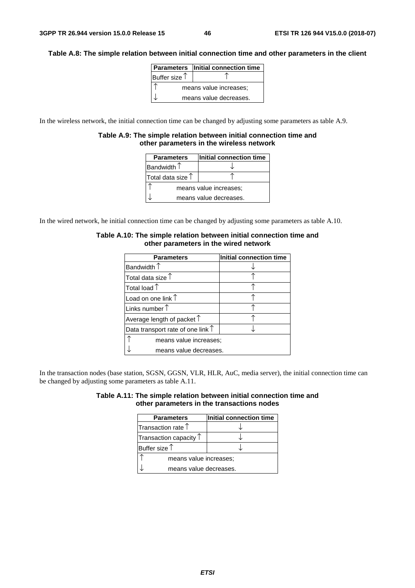### **Table A.8: The simple relation between initial connection time and other parameters in the client**

|                        | Parameters   Initial connection time |  |
|------------------------|--------------------------------------|--|
| Buffer size $\uparrow$ |                                      |  |
| means value increases; |                                      |  |
|                        | means value decreases.               |  |

In the wireless network, the initial connection time can be changed by adjusting some parameters as table A.9.

### **Table A.9: The simple relation between initial connection time and other parameters in the wireless network**

| <b>Parameters</b>          | Initial connection time |  |
|----------------------------|-------------------------|--|
| Bandwidth $\uparrow$       |                         |  |
| Total data size $\uparrow$ |                         |  |
| means value increases;     |                         |  |
| means value decreases.     |                         |  |

In the wired network, he initial connection time can be changed by adjusting some parameters as table A.10.

| <b>Parameters</b>                          | Initial connection time |  |
|--------------------------------------------|-------------------------|--|
| Bandwidth $\uparrow$                       |                         |  |
| Total data size $\uparrow$                 |                         |  |
| Total load $\uparrow$                      |                         |  |
| Load on one link $\uparrow$                |                         |  |
| Links number $\uparrow$                    |                         |  |
| Average length of packet $\uparrow$        |                         |  |
| Data transport rate of one link $\uparrow$ |                         |  |
| means value increases;                     |                         |  |
| means value decreases.                     |                         |  |

### **Table A.10: The simple relation between initial connection time and other parameters in the wired network**

In the transaction nodes (base station, SGSN, GGSN, VLR, HLR, AuC, media server), the initial connection time can be changed by adjusting some parameters as table A.11.

|                                            | Table A.11: The simple relation between initial connection time and |
|--------------------------------------------|---------------------------------------------------------------------|
| other parameters in the transactions nodes |                                                                     |

| <b>Parameters</b>               | Initial connection time |  |
|---------------------------------|-------------------------|--|
| Transaction rate $\uparrow$     |                         |  |
| Transaction capacity $\uparrow$ |                         |  |
| Buffer size $\uparrow$          |                         |  |
| means value increases;          |                         |  |
| means value decreases.          |                         |  |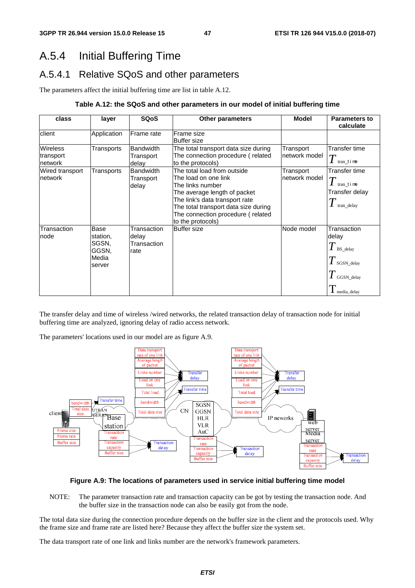# A.5.4 Initial Buffering Time

## A.5.4.1 Relative SQoS and other parameters

The parameters affect the initial buffering time are list in table A.12.

### **Table A.12: the SQoS and other parameters in our model of initial buffering time**

| class                                    | layer                                                 | <b>SQoS</b>                                 | <b>Other parameters</b>                                                                                                                                                                                                                     | Model                       | <b>Parameters to</b><br>calculate                                                         |
|------------------------------------------|-------------------------------------------------------|---------------------------------------------|---------------------------------------------------------------------------------------------------------------------------------------------------------------------------------------------------------------------------------------------|-----------------------------|-------------------------------------------------------------------------------------------|
| client                                   | Application                                           | Frame rate                                  | Frame size<br><b>Buffer size</b>                                                                                                                                                                                                            |                             |                                                                                           |
| <b>Wireless</b><br>transport<br>Inetwork | Transports                                            | <b>Bandwidth</b><br>Transport<br>delay      | The total transport data size during<br>The connection procedure (related<br>to the protocols)                                                                                                                                              | Transport<br>Inetwork model | Transfer time<br>$T$ tran_t i me                                                          |
| <b>Wired transport</b><br>network        | Transports                                            | <b>Bandwidth</b><br>Transport<br>delay      | The total load from outside<br>The load on one link<br>The links number<br>The average length of packet<br>The link's data transport rate<br>The total transport data size during<br>The connection procedure (related<br>to the protocols) | Transport<br>network model  | Transfer time<br>tran time<br>Transfer delay<br>$\mathbf{I}$ tran_delay                   |
| Transaction<br>node                      | Base<br>station.<br>SGSN.<br>GGSN.<br>Media<br>server | Transaction<br>delay<br>Transaction<br>rate | <b>Buffer size</b>                                                                                                                                                                                                                          | Node model                  | Transaction<br>delay<br>$T$ BS_delay<br>$T$ sGSN_delay<br>$T$ GGSN_delay<br>I media_delay |

The transfer delay and time of wireless /wired networks, the related transaction delay of transaction node for initial buffering time are analyzed, ignoring delay of radio access network.

The parameters' locations used in our model are as figure A.9.



### **Figure A.9: The locations of parameters used in service initial buffering time model**

NOTE: The parameter transaction rate and transaction capacity can be got by testing the transaction node. And the buffer size in the transaction node can also be easily got from the node.

The total data size during the connection procedure depends on the buffer size in the client and the protocols used. Why the frame size and frame rate are listed here? Because they affect the buffer size the system set.

The data transport rate of one link and links number are the network's framework parameters.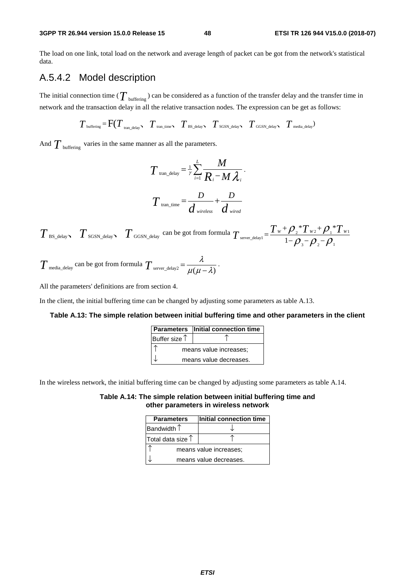The load on one link, total load on the network and average length of packet can be got from the network's statistical data.

## A.5.4.2 Model description

The initial connection time ( $T_{\text{buffering}}$ ) can be considered as a function of the transfer delay and the transfer time in network and the transaction delay in all the relative transaction nodes. The expression can be get as follows:

buffering tran\_time BS delay SGSN delay GGSN delay media\_delay tran delay *T* <sup>=</sup> F(*T TTT T T* ) \_ 、 、、 、 、 \_\_ \_

And  $T_{\text{buffering}}$  varies in the same manner as all the parameters.

$$
T_{\text{tran\_delay}} = \frac{1}{\gamma} \sum_{i=1}^{L} \frac{M}{R_i - M \lambda_i}.
$$

$$
T_{\text{tran\_time}} = \frac{D}{d_{\text{wireless}}} + \frac{D}{d_{\text{wire}}}
$$

 $T_{\text{BS\_delay}}$   $T_{\text{SGSN\_delay}}$   $T_{\text{GGSN\_delay}}$  can be got from formula  $T_{\text{server\_delay1}} = \frac{T_w + \rho_{2}T_{w2} + \rho_{1}T_{w1}}{1 - \rho_{2}T_{w2} + \rho_{1}T_{w1}}$ 3  ${\cal F}$  2  ${\cal F}$  1 \* $T_{w}$  +  $\mathcal{O}$ .\*  $T_{\text{server\_delay1}} = \frac{T_{w} + \rho_{2} {^{*}}T_{w_{2}} + \rho_{1} {^{*}}T_{w}}{1 - \rho_{3} - \rho_{2} - \rho_{1}}$ 

 $T$  <sub>media\_delay</sub> can be got from formula  $T$   $_{\text{server\_delay2}} = \frac{\lambda}{\mu(\mu - \lambda)}$  .

All the parameters' definitions are from section 4.

In the client, the initial buffering time can be changed by adjusting some parameters as table A.13.

### **Table A.13: The simple relation between initial buffering time and other parameters in the client**

|                        | <b>Parameters</b> Initial connection time |  |
|------------------------|-------------------------------------------|--|
| Buffer size $\uparrow$ |                                           |  |
| means value increases; |                                           |  |
|                        | means value decreases.                    |  |

In the wireless network, the initial buffering time can be changed by adjusting some parameters as table A.14.

**Table A.14: The simple relation between initial buffering time and other parameters in wireless network** 

| <b>Parameters</b>          | Initial connection time |  |  |  |
|----------------------------|-------------------------|--|--|--|
| Bandwidth $\uparrow$       |                         |  |  |  |
| Total data size $\uparrow$ |                         |  |  |  |
| means value increases:     |                         |  |  |  |
|                            | means value decreases.  |  |  |  |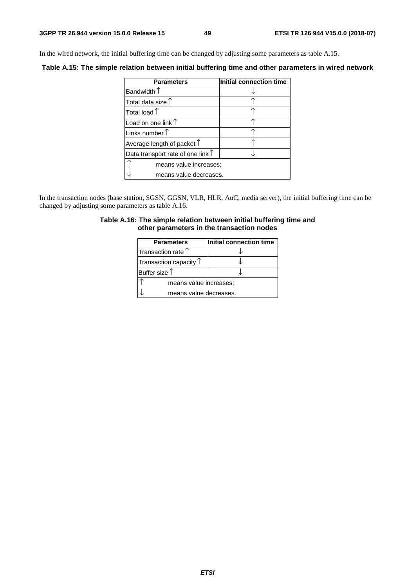In the wired network, the initial buffering time can be changed by adjusting some parameters as table A.15.

**Table A.15: The simple relation between initial buffering time and other parameters in wired network** 

| <b>Parameters</b>                          | Initial connection time |  |  |  |  |
|--------------------------------------------|-------------------------|--|--|--|--|
| Bandwidth $\uparrow$                       |                         |  |  |  |  |
| Total data size $\uparrow$                 |                         |  |  |  |  |
| Total load 1                               |                         |  |  |  |  |
| Load on one link $\uparrow$                |                         |  |  |  |  |
| Links number $\uparrow$                    |                         |  |  |  |  |
| Average length of packet $\uparrow$        |                         |  |  |  |  |
| Data transport rate of one link $\uparrow$ |                         |  |  |  |  |
| means value increases;                     |                         |  |  |  |  |
| means value decreases.                     |                         |  |  |  |  |

In the transaction nodes (base station, SGSN, GGSN, VLR, HLR, AuC, media server), the initial buffering time can be changed by adjusting some parameters as table A.16.

| Table A.16: The simple relation between initial buffering time and |  |
|--------------------------------------------------------------------|--|
| other parameters in the transaction nodes                          |  |

| <b>Parameters</b>               | Initial connection time |  |  |  |  |
|---------------------------------|-------------------------|--|--|--|--|
| Transaction rate 1              |                         |  |  |  |  |
| Transaction capacity $\uparrow$ |                         |  |  |  |  |
| Buffer size $\uparrow$          |                         |  |  |  |  |
| means value increases;          |                         |  |  |  |  |
| means value decreases.          |                         |  |  |  |  |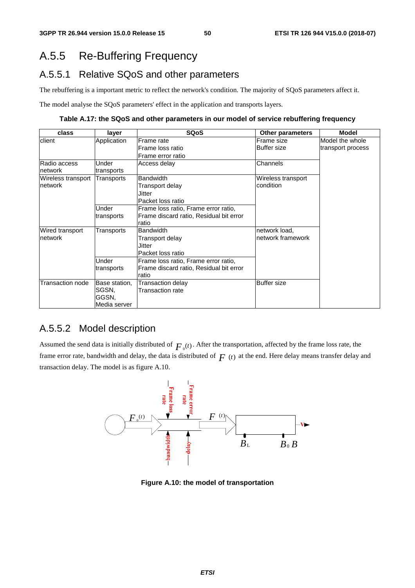# A.5.5 Re-Buffering Frequency

## A.5.5.1 Relative SQoS and other parameters

The rebuffering is a important metric to reflect the network's condition. The majority of SQoS parameters affect it.

The model analyse the SQoS parameters' effect in the application and transports layers.

**Table A.17: the SQoS and other parameters in our model of service rebuffering frequency** 

| class              | layer         | <b>SQoS</b>                             | <b>Other parameters</b> | <b>Model</b>      |
|--------------------|---------------|-----------------------------------------|-------------------------|-------------------|
| client             | Application   | Frame rate                              | Frame size              | Model the whole   |
|                    |               | Frame loss ratio                        | <b>Buffer size</b>      | transport process |
|                    |               | Frame error ratio                       |                         |                   |
| Radio access       | Under         | Access delay                            | Channels                |                   |
| network            | transports    |                                         |                         |                   |
| Wireless transport | Transports    | <b>Bandwidth</b>                        | Wireless transport      |                   |
| Inetwork           |               | Transport delay                         | condition               |                   |
|                    |               | Jitter                                  |                         |                   |
|                    |               | Packet loss ratio                       |                         |                   |
|                    | Under         | Frame loss ratio, Frame error ratio,    |                         |                   |
|                    | transports    | Frame discard ratio, Residual bit error |                         |                   |
|                    |               | ratio                                   |                         |                   |
| Wired transport    | Transports    | <b>Bandwidth</b>                        | network load,           |                   |
| Inetwork           |               | Transport delay                         | network framework       |                   |
|                    |               | Jitter                                  |                         |                   |
|                    |               | Packet loss ratio                       |                         |                   |
|                    | Under         | Frame loss ratio, Frame error ratio,    |                         |                   |
|                    | transports    | Frame discard ratio, Residual bit error |                         |                   |
|                    |               | ratio                                   |                         |                   |
| Transaction node   | Base station, | Transaction delay                       | <b>Buffer size</b>      |                   |
|                    | SGSN.         | Transaction rate                        |                         |                   |
|                    | GGSN.         |                                         |                         |                   |
|                    | Media server  |                                         |                         |                   |

## A.5.5.2 Model description

Assumed the send data is initially distributed of  $F_0(t)$ . After the transportation, affected by the frame loss rate, the frame error rate, bandwidth and delay, the data is distributed of  $F(t)$  at the end. Here delay means transfer delay and transaction delay. The model is as figure A.10.



**Figure A.10: the model of transportation**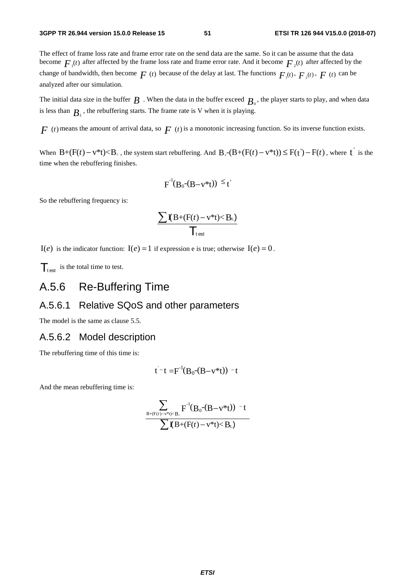The effect of frame loss rate and frame error rate on the send data are the same. So it can be assume that the data become  $F_{\mu}(t)$  after affected by the frame loss rate and frame error rate. And it become  $F_{\mu}(t)$  after affected by the change of bandwidth, then become  $F(t)$  because of the delay at last. The functions  $F_1(t)$ ,  $F_2(t)$ ,  $F(t)$  can be analyzed after our simulation.

The initial data size in the buffer  $B$  . When the data in the buffer exceed  $B_0$ , the player starts to play, and when data is less than  $B_L$ , the rebuffering starts. The frame rate is V when it is playing.

 $F(t)$  means the amount of arrival data, so  $F(t)$  is a monotonic increasing function. So its inverse function exists.

When  $B+(F(t)-v^*t) < B_+$ , the system start rebuffering. And  $B_0-(B+(F(t)-v^*t)) \leq F(t')-F(t)$ , where t is the time when the rebuffering finishes.

$$
F^{-1}(B_0-(B-v^*t)) \leq t'
$$

So the rebuffering frequency is:

$$
\frac{\sum \mathbf{I}(B+(F(t)-v^*t)
$$

 $I(e)$  is the indicator function:  $I(e) = 1$  if expression e is true; otherwise  $I(e) = 0$ .

 $\mathcal{T}_{\text{test}}$  is the total time to test.

## A.5.6 Re-Buffering Time

## A.5.6.1 Relative SQoS and other parameters

The model is the same as clause 5.5.

### A.5.6.2 Model description

The rebuffering time of this time is:

$$
t^-t = F^{-1}(B_0-(B-v^*t)) - t
$$

And the mean rebuffering time is:

$$
\frac{\displaystyle\sum_{\mathrm{B}+\mathrm{(F}(t)-\mathrm{v}^*\mathrm{t})<\mathrm{B}_\mathrm{L}}\!\mathrm{F}^{\text{-}1}\!\!\left(\mathrm{B}_0\text{-}\!\left(\mathrm{B}\!-\!\mathrm{v}^*\!\mathrm{t}\right)\right)\text{-}\mathrm{t}}{\displaystyle\sum\!\mathrm{I}\!\!\left(\mathrm{B}\!+\!\left(\mathrm{F}(t)-\mathrm{v}^*\!\mathrm{t}\right)\!\!<\!\mathrm{B}_\mathrm{L}\right)}
$$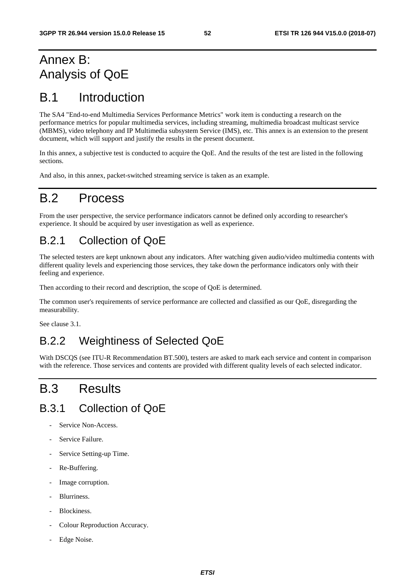# Annex B: Analysis of QoE

# B.1 Introduction

The SA4 "End-to-end Multimedia Services Performance Metrics" work item is conducting a research on the performance metrics for popular multimedia services, including streaming, multimedia broadcast multicast service (MBMS), video telephony and IP Multimedia subsystem Service (IMS), etc. This annex is an extension to the present document, which will support and justify the results in the present document.

In this annex, a subjective test is conducted to acquire the QoE. And the results of the test are listed in the following sections.

And also, in this annex, packet-switched streaming service is taken as an example.

# B.2 Process

From the user perspective, the service performance indicators cannot be defined only according to researcher's experience. It should be acquired by user investigation as well as experience.

## B.2.1 Collection of QoE

The selected testers are kept unknown about any indicators. After watching given audio/video multimedia contents with different quality levels and experiencing those services, they take down the performance indicators only with their feeling and experience.

Then according to their record and description, the scope of QoE is determined.

The common user's requirements of service performance are collected and classified as our QoE, disregarding the measurability.

See clause 3.1.

# B.2.2 Weightiness of Selected QoE

With DSCQS (see ITU-R Recommendation BT.500), testers are asked to mark each service and content in comparison with the reference. Those services and contents are provided with different quality levels of each selected indicator.

# B.3 Results

# B.3.1 Collection of QoE

- Service Non-Access.
- Service Failure.
- Service Setting-up Time.
- Re-Buffering.
- Image corruption.
- Blurriness.
- Blockiness.
- Colour Reproduction Accuracy.
- Edge Noise.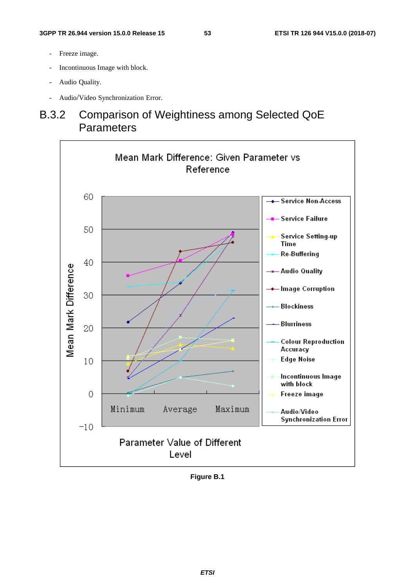- Freeze image.
- Incontinuous Image with block.
- Audio Quality.
- Audio/Video Synchronization Error.

# B.3.2 Comparison of Weightiness among Selected QoE **Parameters**



**Figure B.1**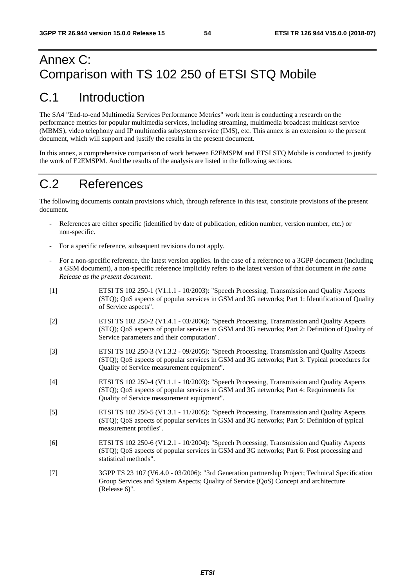# Annex C: Comparison with TS 102 250 of ETSI STQ Mobile

# C.1 Introduction

The SA4 "End-to-end Multimedia Services Performance Metrics" work item is conducting a research on the performance metrics for popular multimedia services, including streaming, multimedia broadcast multicast service (MBMS), video telephony and IP multimedia subsystem service (IMS), etc. This annex is an extension to the present document, which will support and justify the results in the present document.

In this annex, a comprehensive comparison of work between E2EMSPM and ETSI STQ Mobile is conducted to justify the work of E2EMSPM. And the results of the analysis are listed in the following sections.

# C.2 References

The following documents contain provisions which, through reference in this text, constitute provisions of the present document.

- References are either specific (identified by date of publication, edition number, version number, etc.) or non-specific.
- For a specific reference, subsequent revisions do not apply.
- For a non-specific reference, the latest version applies. In the case of a reference to a 3GPP document (including a GSM document), a non-specific reference implicitly refers to the latest version of that document *in the same Release as the present document*.
- [1] ETSI TS 102 250-1 (V1.1.1 10/2003): "Speech Processing, Transmission and Quality Aspects (STQ); QoS aspects of popular services in GSM and 3G networks; Part 1: Identification of Quality of Service aspects".
- [2] ETSI TS 102 250-2 (V1.4.1 03/2006): "Speech Processing, Transmission and Quality Aspects (STQ); QoS aspects of popular services in GSM and 3G networks; Part 2: Definition of Quality of Service parameters and their computation".
- [3] ETSI TS 102 250-3 (V1.3.2 09/2005): "Speech Processing, Transmission and Quality Aspects (STQ); QoS aspects of popular services in GSM and 3G networks; Part 3: Typical procedures for Quality of Service measurement equipment".
- [4] ETSI TS 102 250-4 (V1.1.1 10/2003): "Speech Processing, Transmission and Quality Aspects (STQ); QoS aspects of popular services in GSM and 3G networks; Part 4: Requirements for Quality of Service measurement equipment".
- [5] ETSI TS 102 250-5 (V1.3.1 11/2005): "Speech Processing, Transmission and Quality Aspects (STQ); QoS aspects of popular services in GSM and 3G networks; Part 5: Definition of typical measurement profiles".
- [6] ETSI TS 102 250-6 (V1.2.1 10/2004): "Speech Processing, Transmission and Quality Aspects (STQ); QoS aspects of popular services in GSM and 3G networks; Part 6: Post processing and statistical methods".
- [7] 3GPP TS 23 107 (V6.4.0 03/2006): "3rd Generation partnership Project; Technical Specification Group Services and System Aspects; Quality of Service (QoS) Concept and architecture (Release 6)".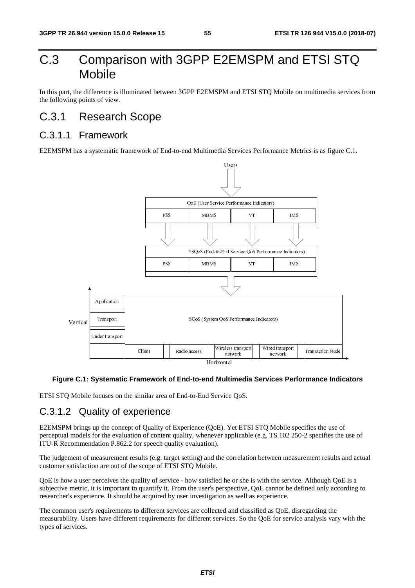# C.3 Comparison with 3GPP E2EMSPM and ETSI STQ Mobile

In this part, the difference is illuminated between 3GPP E2EMSPM and ETSI STO Mobile on multimedia services from the following points of view.

## C.3.1 Research Scope

## C.3.1.1 Framework

E2EMSPM has a systematic framework of End-to-end Multimedia Services Performance Metrics is as figure C.1.



### **Figure C.1: Systematic Framework of End-to-end Multimedia Services Performance Indicators**

ETSI STQ Mobile focuses on the similar area of End-to-End Service QoS.

### C.3.1.2 Quality of experience

E2EMSPM brings up the concept of Quality of Experience (QoE). Yet ETSI STQ Mobile specifies the use of perceptual models for the evaluation of content quality, whenever applicable (e.g. TS 102 250-2 specifies the use of ITU-R Recommendation P.862.2 for speech quality evaluation).

The judgement of measurement results (e.g. target setting) and the correlation between measurement results and actual customer satisfaction are out of the scope of ETSI STQ Mobile.

QoE is how a user perceives the quality of service - how satisfied he or she is with the service. Although QoE is a subjective metric, it is important to quantify it. From the user's perspective, QoE cannot be defined only according to researcher's experience. It should be acquired by user investigation as well as experience.

The common user's requirements to different services are collected and classified as QoE, disregarding the measurability. Users have different requirements for different services. So the QoE for service analysis vary with the types of services.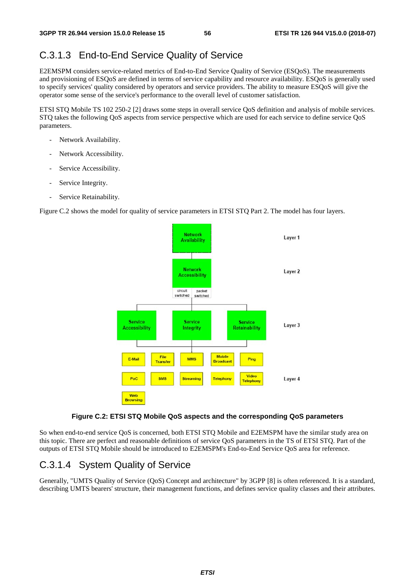## C.3.1.3 End-to-End Service Quality of Service

E2EMSPM considers service-related metrics of End-to-End Service Quality of Service (ESQoS). The measurements and provisioning of ESQoS are defined in terms of service capability and resource availability. ESQoS is generally used to specify services' quality considered by operators and service providers. The ability to measure ESQoS will give the operator some sense of the service's performance to the overall level of customer satisfaction.

ETSI STQ Mobile TS 102 250-2 [2] draws some steps in overall service QoS definition and analysis of mobile services. STQ takes the following QoS aspects from service perspective which are used for each service to define service QoS parameters.

- Network Availability.
- Network Accessibility.
- Service Accessibility.
- Service Integrity.
- Service Retainability.

Figure C.2 shows the model for quality of service parameters in ETSI STO Part 2. The model has four layers.



### **Figure C.2: ETSI STQ Mobile QoS aspects and the corresponding QoS parameters**

So when end-to-end service OoS is concerned, both ETSI STO Mobile and E2EMSPM have the similar study area on this topic. There are perfect and reasonable definitions of service QoS parameters in the TS of ETSI STQ. Part of the outputs of ETSI STQ Mobile should be introduced to E2EMSPM's End-to-End Service QoS area for reference.

## C.3.1.4 System Quality of Service

Generally, "UMTS Quality of Service (QoS) Concept and architecture" by 3GPP [8] is often referenced. It is a standard, describing UMTS bearers' structure, their management functions, and defines service quality classes and their attributes.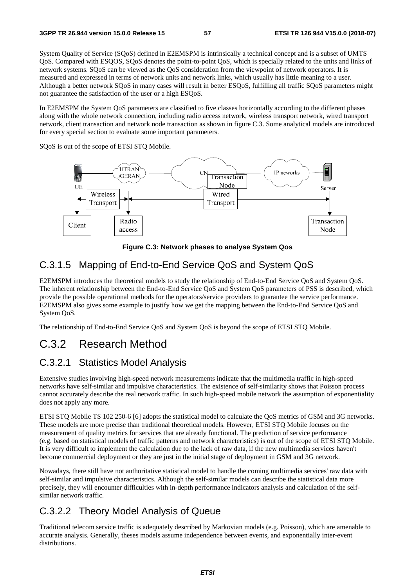System Quality of Service (SQoS) defined in E2EMSPM is intrinsically a technical concept and is a subset of UMTS QoS. Compared with ESQOS, SQoS denotes the point-to-point QoS, which is specially related to the units and links of network systems. SQoS can be viewed as the QoS consideration from the viewpoint of network operators. It is measured and expressed in terms of network units and network links, which usually has little meaning to a user. Although a better network SQoS in many cases will result in better ESQoS, fulfilling all traffic SQoS parameters might not guarantee the satisfaction of the user or a high ESQoS.

In E2EMSPM the System QoS parameters are classified to five classes horizontally according to the different phases along with the whole network connection, including radio access network, wireless transport network, wired transport network, client transaction and network node transaction as shown in figure C.3. Some analytical models are introduced for every special section to evaluate some important parameters.

SQoS is out of the scope of ETSI STQ Mobile.



**Figure C.3: Network phases to analyse System Qos** 

## C.3.1.5 Mapping of End-to-End Service QoS and System QoS

E2EMSPM introduces the theoretical models to study the relationship of End-to-End Service QoS and System QoS. The inherent relationship between the End-to-End Service QoS and System QoS parameters of PSS is described, which provide the possible operational methods for the operators/service providers to guarantee the service performance. E2EMSPM also gives some example to justify how we get the mapping between the End-to-End Service QoS and System QoS.

The relationship of End-to-End Service QoS and System QoS is beyond the scope of ETSI STQ Mobile.

## C.3.2 Research Method

### C.3.2.1 Statistics Model Analysis

Extensive studies involving high-speed network measurements indicate that the multimedia traffic in high-speed networks have self-similar and impulsive characteristics. The existence of self-similarity shows that Poisson process cannot accurately describe the real network traffic. In such high-speed mobile network the assumption of exponentiality does not apply any more.

ETSI STQ Mobile TS 102 250-6 [6] adopts the statistical model to calculate the QoS metrics of GSM and 3G networks. These models are more precise than traditional theoretical models. However, ETSI STQ Mobile focuses on the measurement of quality metrics for services that are already functional. The prediction of service performance (e.g. based on statistical models of traffic patterns and network characteristics) is out of the scope of ETSI STQ Mobile. It is very difficult to implement the calculation due to the lack of raw data, if the new multimedia services haven't become commercial deployment or they are just in the initial stage of deployment in GSM and 3G network.

Nowadays, there still have not authoritative statistical model to handle the coming multimedia services' raw data with self-similar and impulsive characteristics. Although the self-similar models can describe the statistical data more precisely, they will encounter difficulties with in-depth performance indicators analysis and calculation of the selfsimilar network traffic.

## C.3.2.2 Theory Model Analysis of Queue

Traditional telecom service traffic is adequately described by Markovian models (e.g. Poisson), which are amenable to accurate analysis. Generally, theses models assume independence between events, and exponentially inter-event distributions.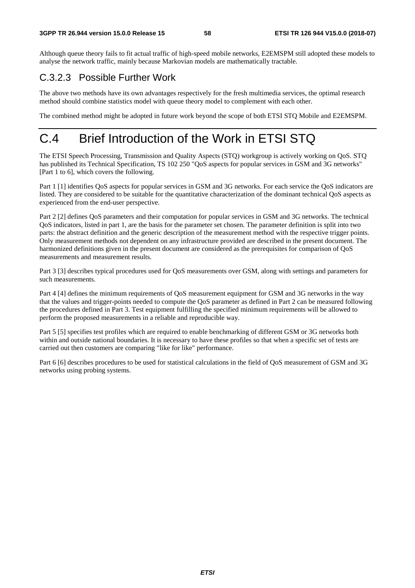Although queue theory fails to fit actual traffic of high-speed mobile networks, E2EMSPM still adopted these models to analyse the network traffic, mainly because Markovian models are mathematically tractable.

## C.3.2.3 Possible Further Work

The above two methods have its own advantages respectively for the fresh multimedia services, the optimal research method should combine statistics model with queue theory model to complement with each other.

The combined method might be adopted in future work beyond the scope of both ETSI STQ Mobile and E2EMSPM.

# C.4 Brief Introduction of the Work in ETSI STQ

The ETSI Speech Processing, Transmission and Quality Aspects (STQ) workgroup is actively working on QoS. STQ has published its Technical Specification, TS 102 250 "QoS aspects for popular services in GSM and 3G networks" [Part 1 to 6], which covers the following.

Part 1 [1] identifies QoS aspects for popular services in GSM and 3G networks. For each service the QoS indicators are listed. They are considered to be suitable for the quantitative characterization of the dominant technical QoS aspects as experienced from the end-user perspective.

Part 2 [2] defines QoS parameters and their computation for popular services in GSM and 3G networks. The technical QoS indicators, listed in part 1, are the basis for the parameter set chosen. The parameter definition is split into two parts: the abstract definition and the generic description of the measurement method with the respective trigger points. Only measurement methods not dependent on any infrastructure provided are described in the present document. The harmonized definitions given in the present document are considered as the prerequisites for comparison of QoS measurements and measurement results.

Part 3 [3] describes typical procedures used for QoS measurements over GSM, along with settings and parameters for such measurements.

Part 4 [4] defines the minimum requirements of QoS measurement equipment for GSM and 3G networks in the way that the values and trigger-points needed to compute the QoS parameter as defined in Part 2 can be measured following the procedures defined in Part 3. Test equipment fulfilling the specified minimum requirements will be allowed to perform the proposed measurements in a reliable and reproducible way.

Part 5 [5] specifies test profiles which are required to enable benchmarking of different GSM or 3G networks both within and outside national boundaries. It is necessary to have these profiles so that when a specific set of tests are carried out then customers are comparing "like for like" performance.

Part 6 [6] describes procedures to be used for statistical calculations in the field of QoS measurement of GSM and 3G networks using probing systems.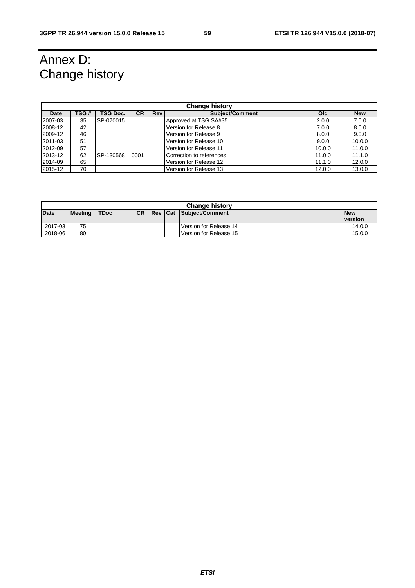# Annex D: Change history

| <b>Change history</b> |      |                 |           |            |                          |        |            |
|-----------------------|------|-----------------|-----------|------------|--------------------------|--------|------------|
| <b>Date</b>           | TSG# | <b>TSG Doc.</b> | <b>CR</b> | <b>Rev</b> | Subiect/Comment          | Old    | <b>New</b> |
| 2007-03               | 35   | SP-070015       |           |            | Approved at TSG SA#35    | 2.0.0  | 7.0.0      |
| 2008-12               | 42   |                 |           |            | Version for Release 8    | 7.0.0  | 8.0.0      |
| 2009-12               | 46   |                 |           |            | Version for Release 9    | 8.0.0  | 9.0.0      |
| 2011-03               | 51   |                 |           |            | Version for Release 10   | 9.0.0  | 10.0.0     |
| 2012-09               | 57   |                 |           |            | Version for Release 11   | 10.0.0 | 11.0.0     |
| 2013-12               | 62   | SP-130568       | 0001      |            | Correction to references | 11.0.0 | 11.1.0     |
| 2014-09               | 65   |                 |           |            | Version for Release 12   | 11.1.0 | 12.0.0     |
| 2015-12               | 70   |                 |           |            | Version for Release 13   | 12.0.0 | 13.0.0     |

|             | <b>Change history</b> |             |            |  |  |                         |                |
|-------------|-----------------------|-------------|------------|--|--|-------------------------|----------------|
| <b>Date</b> | Meeting               | <b>TDoc</b> | <b>ICR</b> |  |  | Rev Cat Subject/Comment | <b>New</b>     |
|             |                       |             |            |  |  |                         | <b>version</b> |
| 2017-03     | 75                    |             |            |  |  | Version for Release 14  | 14.0.0         |
| 2018-06     | 80                    |             |            |  |  | Version for Release 15  | 15.0.0         |